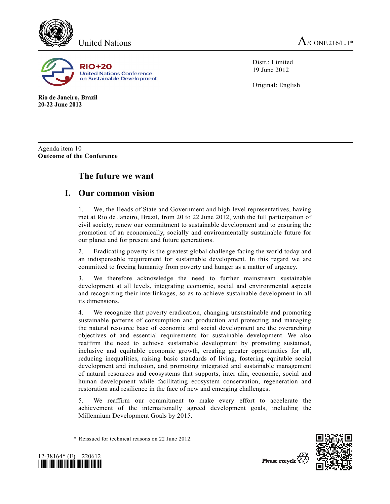



**Rio de Janeiro, Brazil 20-22 June 2012** 

Distr.: Limited 19 June 2012

Original: English

Agenda item 10 **Outcome of the Conference** 

# **The future we want**

# **I. Our common vision**

1. We, the Heads of State and Government and high-level representatives, having met at Rio de Janeiro, Brazil, from 20 to 22 June 2012, with the full participation of civil society, renew our commitment to sustainable development and to ensuring the promotion of an economically, socially and environmentally sustainable future for our planet and for present and future generations.

2. Eradicating poverty is the greatest global challenge facing the world today and an indispensable requirement for sustainable development. In this regard we are committed to freeing humanity from poverty and hunger as a matter of urgency.

3. We therefore acknowledge the need to further mainstream sustainable development at all levels, integrating economic, social and environmental aspects and recognizing their interlinkages, so as to achieve sustainable development in all its dimensions.

4. We recognize that poverty eradication, changing unsustainable and promoting sustainable patterns of consumption and production and protecting and managing the natural resource base of economic and social development are the overarching objectives of and essential requirements for sustainable development. We also reaffirm the need to achieve sustainable development by promoting sustained, inclusive and equitable economic growth, creating greater opportunities for all, reducing inequalities, raising basic standards of living, fostering equitable social development and inclusion, and promoting integrated and sustainable management of natural resources and ecosystems that supports, inter alia, economic, social and human development while facilitating ecosystem conservation, regeneration and restoration and resilience in the face of new and emerging challenges.

5. We reaffirm our commitment to make every effort to accelerate the achievement of the internationally agreed development goals, including the Millennium Development Goals by 2015.





 <sup>\*</sup> Reissued for technical reasons on 22 June 2012.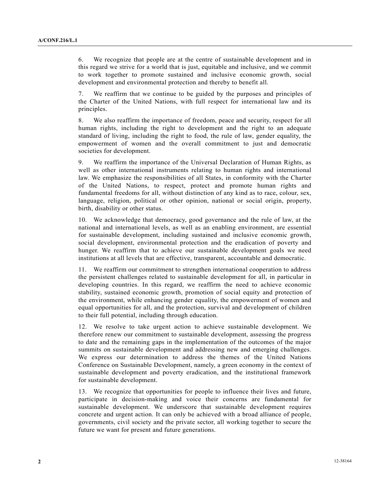6. We recognize that people are at the centre of sustainable development and in this regard we strive for a world that is just, equitable and inclusive, and we commit to work together to promote sustained and inclusive economic growth, social development and environmental protection and thereby to benefit all.

7. We reaffirm that we continue to be guided by the purposes and principles of the Charter of the United Nations, with full respect for international law and its principles.

8. We also reaffirm the importance of freedom, peace and security, respect for all human rights, including the right to development and the right to an adequate standard of living, including the right to food, the rule of law, gender equality, the empowerment of women and the overall commitment to just and democratic societies for development.

9. We reaffirm the importance of the Universal Declaration of Human Rights, as well as other international instruments relating to human rights and international law. We emphasize the responsibilities of all States, in conformity with the Charter of the United Nations, to respect, protect and promote human rights and fundamental freedoms for all, without distinction of any kind as to race, colour, sex, language, religion, political or other opinion, national or social origin, property, birth, disability or other status.

10. We acknowledge that democracy, good governance and the rule of law, at the national and international levels, as well as an enabling environment, are essential for sustainable development, including sustained and inclusive economic growth, social development, environmental protection and the eradication of poverty and hunger. We reaffirm that to achieve our sustainable development goals we need institutions at all levels that are effective, transparent, accountable and democratic.

11. We reaffirm our commitment to strengthen international cooperation to address the persistent challenges related to sustainable development for all, in particular in developing countries. In this regard, we reaffirm the need to achieve economic stability, sustained economic growth, promotion of social equity and protection of the environment, while enhancing gender equality, the empowerment of women and equal opportunities for all, and the protection, survival and development of children to their full potential, including through education.

12. We resolve to take urgent action to achieve sustainable development. We therefore renew our commitment to sustainable development, assessing the progress to date and the remaining gaps in the implementation of the outcomes of the major summits on sustainable development and addressing new and emerging challenges. We express our determination to address the themes of the United Nations Conference on Sustainable Development, namely, a green economy in the context of sustainable development and poverty eradication, and the institutional framework for sustainable development.

13. We recognize that opportunities for people to influence their lives and future, participate in decision-making and voice their concerns are fundamental for sustainable development. We underscore that sustainable development requires concrete and urgent action. It can only be achieved with a broad alliance of people, governments, civil society and the private sector, all working together to secure the future we want for present and future generations.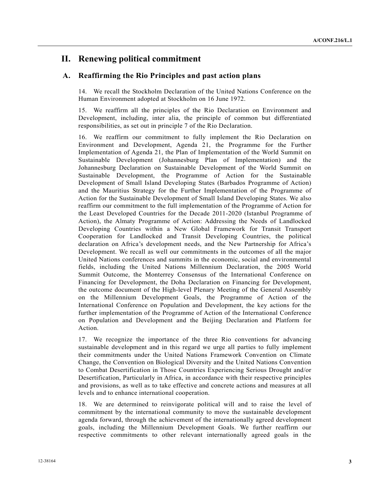## **II. Renewing political commitment**

### **A. Reaffirming the Rio Principles and past action plans**

14. We recall the Stockholm Declaration of the United Nations Conference on the Human Environment adopted at Stockholm on 16 June 1972.

15. We reaffirm all the principles of the Rio Declaration on Environment and Development, including, inter alia, the principle of common but differentiated responsibilities, as set out in principle 7 of the Rio Declaration.

16. We reaffirm our commitment to fully implement the Rio Declaration on Environment and Development, Agenda 21, the Programme for the Further Implementation of Agenda 21, the Plan of Implementation of the World Summit on Sustainable Development (Johannesburg Plan of Implementation) and the Johannesburg Declaration on Sustainable Development of the World Summit on Sustainable Development, the Programme of Action for the Sustainable Development of Small Island Developing States (Barbados Programme of Action) and the Mauritius Strategy for the Further Implementation of the Programme of Action for the Sustainable Development of Small Island Developing States. We also reaffirm our commitment to the full implementation of the Programme of Action for the Least Developed Countries for the Decade 2011-2020 (Istanbul Programme of Action), the Almaty Programme of Action: Addressing the Needs of Landlocked Developing Countries within a New Global Framework for Transit Transport Cooperation for Landlocked and Transit Developing Countries, the political declaration on Africa's development needs, and the New Partnership for Africa's Development. We recall as well our commitments in the outcomes of all the major United Nations conferences and summits in the economic, social and environmental fields, including the United Nations Millennium Declaration, the 2005 World Summit Outcome, the Monterrey Consensus of the International Conference on Financing for Development, the Doha Declaration on Financing for Development, the outcome document of the High-level Plenary Meeting of the General Assembly on the Millennium Development Goals, the Programme of Action of the International Conference on Population and Development, the key actions for the further implementation of the Programme of Action of the International Conference on Population and Development and the Beijing Declaration and Platform for Action.

17. We recognize the importance of the three Rio conventions for advancing sustainable development and in this regard we urge all parties to fully implement their commitments under the United Nations Framework Convention on Climate Change, the Convention on Biological Diversity and the United Nations Convention to Combat Desertification in Those Countries Experiencing Serious Drought and/or Desertification, Particularly in Africa, in accordance with their respective principles and provisions, as well as to take effective and concrete actions and measures at all levels and to enhance international cooperation.

18. We are determined to reinvigorate political will and to raise the level of commitment by the international community to move the sustainable development agenda forward, through the achievement of the internationally agreed development goals, including the Millennium Development Goals. We further reaffirm our respective commitments to other relevant internationally agreed goals in the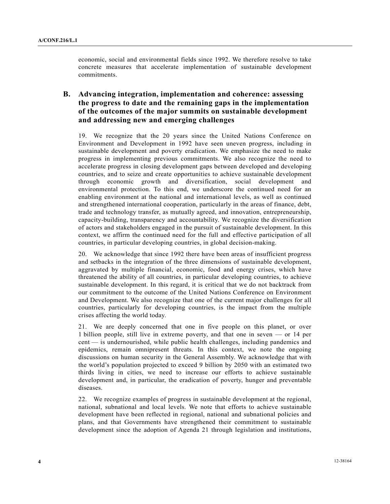economic, social and environmental fields since 1992. We therefore resolve to take concrete measures that accelerate implementation of sustainable development commitments.

## **B. Advancing integration, implementation and coherence: assessing the progress to date and the remaining gaps in the implementation of the outcomes of the major summits on sustainable development and addressing new and emerging challenges**

19. We recognize that the 20 years since the United Nations Conference on Environment and Development in 1992 have seen uneven progress, including in sustainable development and poverty eradication. We emphasize the need to make progress in implementing previous commitments. We also recognize the need to accelerate progress in closing development gaps between developed and developing countries, and to seize and create opportunities to achieve sustainable development through economic growth and diversification, social development and environmental protection. To this end, we underscore the continued need for an enabling environment at the national and international levels, as well as continued and strengthened international cooperation, particularly in the areas of finance, debt, trade and technology transfer, as mutually agreed, and innovation, entrepreneurship, capacity-building, transparency and accountability. We recognize the diversification of actors and stakeholders engaged in the pursuit of sustainable development. In this context, we affirm the continued need for the full and effective participation of all countries, in particular developing countries, in global decision-making.

20. We acknowledge that since 1992 there have been areas of insufficient progress and setbacks in the integration of the three dimensions of sustainable development, aggravated by multiple financial, economic, food and energy crises, which have threatened the ability of all countries, in particular developing countries, to achieve sustainable development. In this regard, it is critical that we do not backtrack from our commitment to the outcome of the United Nations Conference on Environment and Development. We also recognize that one of the current major challenges for all countries, particularly for developing countries, is the impact from the multiple crises affecting the world today.

21. We are deeply concerned that one in five people on this planet, or over 1 billion people, still live in extreme poverty, and that one in seven — or 14 per cent — is undernourished, while public health challenges, including pandemics and epidemics, remain omnipresent threats. In this context, we note the ongoing discussions on human security in the General Assembly. We acknowledge that with the world's population projected to exceed 9 billion by 2050 with an estimated two thirds living in cities, we need to increase our efforts to achieve sustainable development and, in particular, the eradication of poverty, hunger and preventable diseases.

22. We recognize examples of progress in sustainable development at the regional, national, subnational and local levels. We note that efforts to achieve sustainable development have been reflected in regional, national and subnational policies and plans, and that Governments have strengthened their commitment to sustainable development since the adoption of Agenda 21 through legislation and institutions,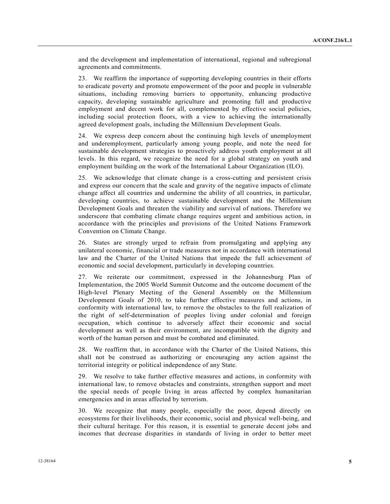and the development and implementation of international, regional and subregional agreements and commitments.

23. We reaffirm the importance of supporting developing countries in their efforts to eradicate poverty and promote empowerment of the poor and people in vulnerable situations, including removing barriers to opportunity, enhancing productive capacity, developing sustainable agriculture and promoting full and productive employment and decent work for all, complemented by effective social policies, including social protection floors, with a view to achieving the internationally agreed development goals, including the Millennium Development Goals.

24. We express deep concern about the continuing high levels of unemployment and underemployment, particularly among young people, and note the need for sustainable development strategies to proactively address youth employment at all levels. In this regard, we recognize the need for a global strategy on youth and employment building on the work of the International Labour Organization (ILO).

25. We acknowledge that climate change is a cross-cutting and persistent crisis and express our concern that the scale and gravity of the negative impacts of climate change affect all countries and undermine the ability of all countries, in particular, developing countries, to achieve sustainable development and the Millennium Development Goals and threaten the viability and survival of nations. Therefore we underscore that combating climate change requires urgent and ambitious action, in accordance with the principles and provisions of the United Nations Framework Convention on Climate Change.

26. States are strongly urged to refrain from promulgating and applying any unilateral economic, financial or trade measures not in accordance with international law and the Charter of the United Nations that impede the full achievement of economic and social development, particularly in developing countries.

27. We reiterate our commitment, expressed in the Johannesburg Plan of Implementation, the 2005 World Summit Outcome and the outcome document of the High-level Plenary Meeting of the General Assembly on the Millennium Development Goals of 2010, to take further effective measures and actions, in conformity with international law, to remove the obstacles to the full realization of the right of self-determination of peoples living under colonial and foreign occupation, which continue to adversely affect their economic and social development as well as their environment, are incompatible with the dignity and worth of the human person and must be combated and eliminated.

28. We reaffirm that, in accordance with the Charter of the United Nations, this shall not be construed as authorizing or encouraging any action against the territorial integrity or political independence of any State.

29. We resolve to take further effective measures and actions, in conformity with international law, to remove obstacles and constraints, strengthen support and meet the special needs of people living in areas affected by complex humanitarian emergencies and in areas affected by terrorism.

30. We recognize that many people, especially the poor, depend directly on ecosystems for their livelihoods, their economic, social and physical well-being, and their cultural heritage. For this reason, it is essential to generate decent jobs and incomes that decrease disparities in standards of living in order to better meet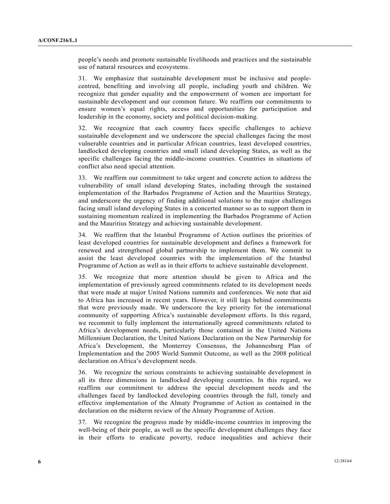people's needs and promote sustainable livelihoods and practices and the sustainable use of natural resources and ecosystems.

31. We emphasize that sustainable development must be inclusive and peoplecentred, benefiting and involving all people, including youth and children. We recognize that gender equality and the empowerment of women are important for sustainable development and our common future. We reaffirm our commitments to ensure women's equal rights, access and opportunities for participation and leadership in the economy, society and political decision-making.

32. We recognize that each country faces specific challenges to achieve sustainable development and we underscore the special challenges facing the most vulnerable countries and in particular African countries, least developed countries, landlocked developing countries and small island developing States, as well as the specific challenges facing the middle-income countries. Countries in situations of conflict also need special attention.

33. We reaffirm our commitment to take urgent and concrete action to address the vulnerability of small island developing States, including through the sustained implementation of the Barbados Programme of Action and the Mauritius Strategy, and underscore the urgency of finding additional solutions to the major challenges facing small island developing States in a concerted manner so as to support them in sustaining momentum realized in implementing the Barbados Programme of Action and the Mauritius Strategy and achieving sustainable development.

34. We reaffirm that the Istanbul Programme of Action outlines the priorities of least developed countries for sustainable development and defines a framework for renewed and strengthened global partnership to implement them. We commit to assist the least developed countries with the implementation of the Istanbul Programme of Action as well as in their efforts to achieve sustainable development.

35. We recognize that more attention should be given to Africa and the implementation of previously agreed commitments related to its development needs that were made at major United Nations summits and conferences. We note that aid to Africa has increased in recent years. However, it still lags behind commitments that were previously made. We underscore the key priority for the international community of supporting Africa's sustainable development efforts. In this regard, we recommit to fully implement the internationally agreed commitments related to Africa's development needs, particularly those contained in the United Nations Millennium Declaration, the United Nations Declaration on the New Partnership for Africa's Development, the Monterrey Consensus, the Johannesburg Plan of Implementation and the 2005 World Summit Outcome, as well as the 2008 political declaration on Africa's development needs.

36. We recognize the serious constraints to achieving sustainable development in all its three dimensions in landlocked developing countries. In this regard, we reaffirm our commitment to address the special development needs and the challenges faced by landlocked developing countries through the full, timely and effective implementation of the Almaty Programme of Action as contained in the declaration on the midterm review of the Almaty Programme of Action.

37. We recognize the progress made by middle-income countries in improving the well-being of their people, as well as the specific development challenges they face in their efforts to eradicate poverty, reduce inequalities and achieve their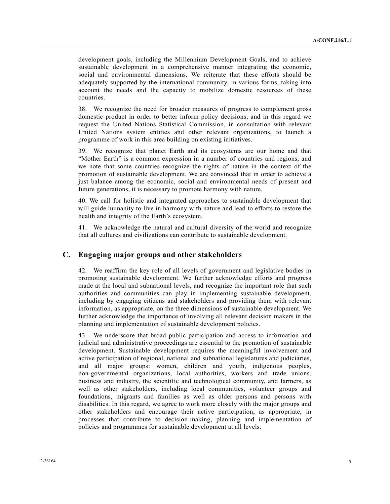development goals, including the Millennium Development Goals, and to achieve sustainable development in a comprehensive manner integrating the economic, social and environmental dimensions. We reiterate that these efforts should be adequately supported by the international community, in various forms, taking into account the needs and the capacity to mobilize domestic resources of these countries.

38. We recognize the need for broader measures of progress to complement gross domestic product in order to better inform policy decisions, and in this regard we request the United Nations Statistical Commission, in consultation with relevant United Nations system entities and other relevant organizations, to launch a programme of work in this area building on existing initiatives.

39. We recognize that planet Earth and its ecosystems are our home and that "Mother Earth" is a common expression in a number of countries and regions, and we note that some countries recognize the rights of nature in the context of the promotion of sustainable development. We are convinced that in order to achieve a just balance among the economic, social and environmental needs of present and future generations, it is necessary to promote harmony with nature.

40. We call for holistic and integrated approaches to sustainable development that will guide humanity to live in harmony with nature and lead to efforts to restore the health and integrity of the Earth's ecosystem.

41. We acknowledge the natural and cultural diversity of the world and recognize that all cultures and civilizations can contribute to sustainable development.

## **C. Engaging major groups and other stakeholders**

42. We reaffirm the key role of all levels of government and legislative bodies in promoting sustainable development. We further acknowledge efforts and progress made at the local and subnational levels, and recognize the important role that such authorities and communities can play in implementing sustainable development, including by engaging citizens and stakeholders and providing them with relevant information, as appropriate, on the three dimensions of sustainable development. We further acknowledge the importance of involving all relevant decision makers in the planning and implementation of sustainable development policies.

43. We underscore that broad public participation and access to information and judicial and administrative proceedings are essential to the promotion of sustainable development. Sustainable development requires the meaningful involvement and active participation of regional, national and subnational legislatures and judiciaries, and all major groups: women, children and youth, indigenous peoples, non-governmental organizations, local authorities, workers and trade unions, business and industry, the scientific and technological community, and farmers, as well as other stakeholders, including local communities, volunteer groups and foundations, migrants and families as well as older persons and persons with disabilities. In this regard, we agree to work more closely with the major groups and other stakeholders and encourage their active participation, as appropriate, in processes that contribute to decision-making, planning and implementation of policies and programmes for sustainable development at all levels.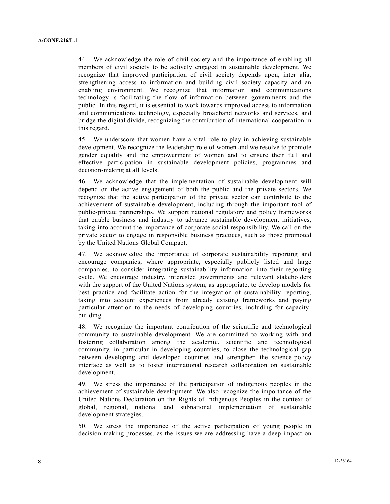44. We acknowledge the role of civil society and the importance of enabling all members of civil society to be actively engaged in sustainable development. We recognize that improved participation of civil society depends upon, inter alia, strengthening access to information and building civil society capacity and an enabling environment. We recognize that information and communications technology is facilitating the flow of information between governments and the public. In this regard, it is essential to work towards improved access to information and communications technology, especially broadband networks and services, and bridge the digital divide, recognizing the contribution of international cooperation in this regard.

45. We underscore that women have a vital role to play in achieving sustainable development. We recognize the leadership role of women and we resolve to promote gender equality and the empowerment of women and to ensure their full and effective participation in sustainable development policies, programmes and decision-making at all levels.

46. We acknowledge that the implementation of sustainable development will depend on the active engagement of both the public and the private sectors. We recognize that the active participation of the private sector can contribute to the achievement of sustainable development, including through the important tool of public-private partnerships. We support national regulatory and policy frameworks that enable business and industry to advance sustainable development initiatives, taking into account the importance of corporate social responsibility. We call on the private sector to engage in responsible business practices, such as those promoted by the United Nations Global Compact.

47. We acknowledge the importance of corporate sustainability reporting and encourage companies, where appropriate, especially publicly listed and large companies, to consider integrating sustainability information into their reporting cycle. We encourage industry, interested governments and relevant stakeholders with the support of the United Nations system, as appropriate, to develop models for best practice and facilitate action for the integration of sustainability reporting, taking into account experiences from already existing frameworks and paying particular attention to the needs of developing countries, including for capacitybuilding.

48. We recognize the important contribution of the scientific and technological community to sustainable development. We are committed to working with and fostering collaboration among the academic, scientific and technological community, in particular in developing countries, to close the technological gap between developing and developed countries and strengthen the science-policy interface as well as to foster international research collaboration on sustainable development.

49. We stress the importance of the participation of indigenous peoples in the achievement of sustainable development. We also recognize the importance of the United Nations Declaration on the Rights of Indigenous Peoples in the context of global, regional, national and subnational implementation of sustainable development strategies.

50. We stress the importance of the active participation of young people in decision-making processes, as the issues we are addressing have a deep impact on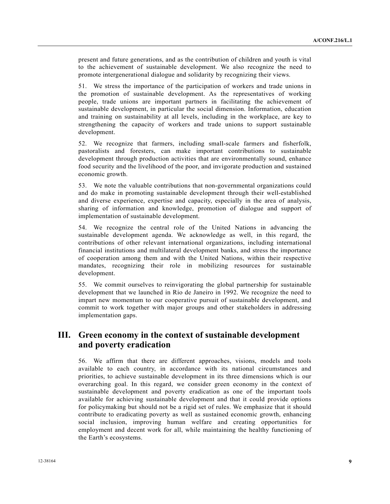present and future generations, and as the contribution of children and youth is vital to the achievement of sustainable development. We also recognize the need to promote intergenerational dialogue and solidarity by recognizing their views.

51. We stress the importance of the participation of workers and trade unions in the promotion of sustainable development. As the representatives of working people, trade unions are important partners in facilitating the achievement of sustainable development, in particular the social dimension. Information, education and training on sustainability at all levels, including in the workplace, are key to strengthening the capacity of workers and trade unions to support sustainable development.

52. We recognize that farmers, including small-scale farmers and fisherfolk, pastoralists and foresters, can make important contributions to sustainable development through production activities that are environmentally sound, enhance food security and the livelihood of the poor, and invigorate production and sustained economic growth.

53. We note the valuable contributions that non-governmental organizations could and do make in promoting sustainable development through their well-established and diverse experience, expertise and capacity, especially in the area of analysis, sharing of information and knowledge, promotion of dialogue and support of implementation of sustainable development.

54. We recognize the central role of the United Nations in advancing the sustainable development agenda. We acknowledge as well, in this regard, the contributions of other relevant international organizations, including international financial institutions and multilateral development banks, and stress the importance of cooperation among them and with the United Nations, within their respective mandates, recognizing their role in mobilizing resources for sustainable development.

55. We commit ourselves to reinvigorating the global partnership for sustainable development that we launched in Rio de Janeiro in 1992. We recognize the need to impart new momentum to our cooperative pursuit of sustainable development, and commit to work together with major groups and other stakeholders in addressing implementation gaps.

# **III. Green economy in the context of sustainable development and poverty eradication**

56. We affirm that there are different approaches, visions, models and tools available to each country, in accordance with its national circumstances and priorities, to achieve sustainable development in its three dimensions which is our overarching goal. In this regard, we consider green economy in the context of sustainable development and poverty eradication as one of the important tools available for achieving sustainable development and that it could provide options for policymaking but should not be a rigid set of rules. We emphasize that it should contribute to eradicating poverty as well as sustained economic growth, enhancing social inclusion, improving human welfare and creating opportunities for employment and decent work for all, while maintaining the healthy functioning of the Earth's ecosystems.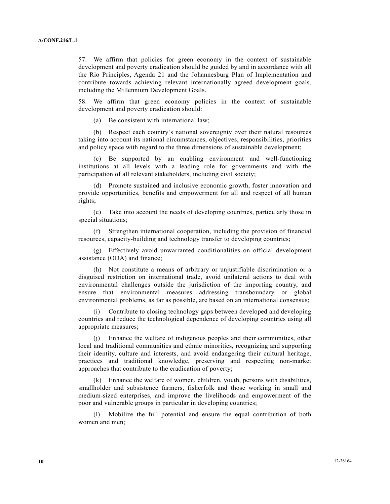57. We affirm that policies for green economy in the context of sustainable development and poverty eradication should be guided by and in accordance with all the Rio Principles, Agenda 21 and the Johannesburg Plan of Implementation and contribute towards achieving relevant internationally agreed development goals, including the Millennium Development Goals.

58. We affirm that green economy policies in the context of sustainable development and poverty eradication should:

(a) Be consistent with international law;

 (b) Respect each country's national sovereignty over their natural resources taking into account its national circumstances, objectives, responsibilities, priorities and policy space with regard to the three dimensions of sustainable development;

 (c) Be supported by an enabling environment and well-functioning institutions at all levels with a leading role for governments and with the participation of all relevant stakeholders, including civil society;

 (d) Promote sustained and inclusive economic growth, foster innovation and provide opportunities, benefits and empowerment for all and respect of all human rights;

 (e) Take into account the needs of developing countries, particularly those in special situations;

 (f) Strengthen international cooperation, including the provision of financial resources, capacity-building and technology transfer to developing countries;

 (g) Effectively avoid unwarranted conditionalities on official development assistance (ODA) and finance;

 (h) Not constitute a means of arbitrary or unjustifiable discrimination or a disguised restriction on international trade, avoid unilateral actions to deal with environmental challenges outside the jurisdiction of the importing country, and ensure that environmental measures addressing transboundary or global environmental problems, as far as possible, are based on an international consensus;

 (i) Contribute to closing technology gaps between developed and developing countries and reduce the technological dependence of developing countries using all appropriate measures;

 (j) Enhance the welfare of indigenous peoples and their communities, other local and traditional communities and ethnic minorities, recognizing and supporting their identity, culture and interests, and avoid endangering their cultural heritage, practices and traditional knowledge, preserving and respecting non-market approaches that contribute to the eradication of poverty;

 (k) Enhance the welfare of women, children, youth, persons with disabilities, smallholder and subsistence farmers, fisherfolk and those working in small and medium-sized enterprises, and improve the livelihoods and empowerment of the poor and vulnerable groups in particular in developing countries;

Mobilize the full potential and ensure the equal contribution of both women and men;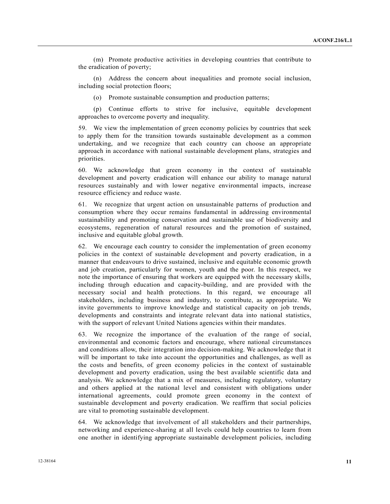(m) Promote productive activities in developing countries that contribute to the eradication of poverty;

 (n) Address the concern about inequalities and promote social inclusion, including social protection floors;

(o) Promote sustainable consumption and production patterns;

 (p) Continue efforts to strive for inclusive, equitable development approaches to overcome poverty and inequality.

59. We view the implementation of green economy policies by countries that seek to apply them for the transition towards sustainable development as a common undertaking, and we recognize that each country can choose an appropriate approach in accordance with national sustainable development plans, strategies and priorities.

60. We acknowledge that green economy in the context of sustainable development and poverty eradication will enhance our ability to manage natural resources sustainably and with lower negative environmental impacts, increase resource efficiency and reduce waste.

61. We recognize that urgent action on unsustainable patterns of production and consumption where they occur remains fundamental in addressing environmental sustainability and promoting conservation and sustainable use of biodiversity and ecosystems, regeneration of natural resources and the promotion of sustained, inclusive and equitable global growth.

62. We encourage each country to consider the implementation of green economy policies in the context of sustainable development and poverty eradication, in a manner that endeavours to drive sustained, inclusive and equitable economic growth and job creation, particularly for women, youth and the poor. In this respect, we note the importance of ensuring that workers are equipped with the necessary skills, including through education and capacity-building, and are provided with the necessary social and health protections. In this regard, we encourage all stakeholders, including business and industry, to contribute, as appropriate. We invite governments to improve knowledge and statistical capacity on job trends, developments and constraints and integrate relevant data into national statistics, with the support of relevant United Nations agencies within their mandates.

63. We recognize the importance of the evaluation of the range of social, environmental and economic factors and encourage, where national circumstances and conditions allow, their integration into decision-making. We acknowledge that it will be important to take into account the opportunities and challenges, as well as the costs and benefits, of green economy policies in the context of sustainable development and poverty eradication, using the best available scientific data and analysis. We acknowledge that a mix of measures, including regulatory, voluntary and others applied at the national level and consistent with obligations under international agreements, could promote green economy in the context of sustainable development and poverty eradication. We reaffirm that social policies are vital to promoting sustainable development.

64. We acknowledge that involvement of all stakeholders and their partnerships, networking and experience-sharing at all levels could help countries to learn from one another in identifying appropriate sustainable development policies, including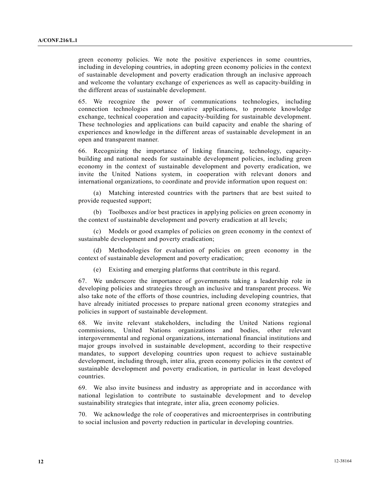green economy policies. We note the positive experiences in some countries, including in developing countries, in adopting green economy policies in the context of sustainable development and poverty eradication through an inclusive approach and welcome the voluntary exchange of experiences as well as capacity-building in the different areas of sustainable development.

65. We recognize the power of communications technologies, including connection technologies and innovative applications, to promote knowledge exchange, technical cooperation and capacity-building for sustainable development. These technologies and applications can build capacity and enable the sharing of experiences and knowledge in the different areas of sustainable development in an open and transparent manner.

66. Recognizing the importance of linking financing, technology, capacitybuilding and national needs for sustainable development policies, including green economy in the context of sustainable development and poverty eradication, we invite the United Nations system, in cooperation with relevant donors and international organizations, to coordinate and provide information upon request on:

 (a) Matching interested countries with the partners that are best suited to provide requested support;

 (b) Toolboxes and/or best practices in applying policies on green economy in the context of sustainable development and poverty eradication at all levels;

 (c) Models or good examples of policies on green economy in the context of sustainable development and poverty eradication;

 (d) Methodologies for evaluation of policies on green economy in the context of sustainable development and poverty eradication;

(e) Existing and emerging platforms that contribute in this regard.

67. We underscore the importance of governments taking a leadership role in developing policies and strategies through an inclusive and transparent process. We also take note of the efforts of those countries, including developing countries, that have already initiated processes to prepare national green economy strategies and policies in support of sustainable development.

68. We invite relevant stakeholders, including the United Nations regional commissions, United Nations organizations and bodies, other relevant intergovernmental and regional organizations, international financial institutions and major groups involved in sustainable development, according to their respective mandates, to support developing countries upon request to achieve sustainable development, including through, inter alia, green economy policies in the context of sustainable development and poverty eradication, in particular in least developed countries.

69. We also invite business and industry as appropriate and in accordance with national legislation to contribute to sustainable development and to develop sustainability strategies that integrate, inter alia, green economy policies.

70. We acknowledge the role of cooperatives and microenterprises in contributing to social inclusion and poverty reduction in particular in developing countries.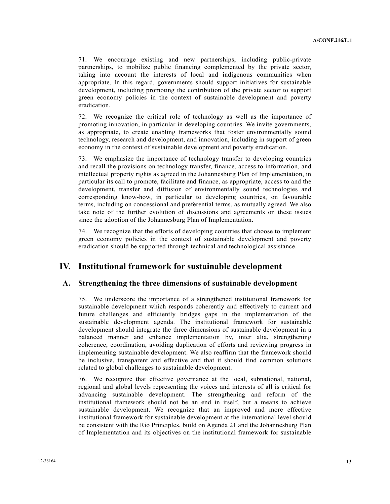71. We encourage existing and new partnerships, including public-private partnerships, to mobilize public financing complemented by the private sector, taking into account the interests of local and indigenous communities when appropriate. In this regard, governments should support initiatives for sustainable development, including promoting the contribution of the private sector to support green economy policies in the context of sustainable development and poverty eradication.

72. We recognize the critical role of technology as well as the importance of promoting innovation, in particular in developing countries. We invite governments, as appropriate, to create enabling frameworks that foster environmentally sound technology, research and development, and innovation, including in support of green economy in the context of sustainable development and poverty eradication.

73. We emphasize the importance of technology transfer to developing countries and recall the provisions on technology transfer, finance, access to information, and intellectual property rights as agreed in the Johannesburg Plan of Implementation, in particular its call to promote, facilitate and finance, as appropriate, access to and the development, transfer and diffusion of environmentally sound technologies and corresponding know-how, in particular to developing countries, on favourable terms, including on concessional and preferential terms, as mutually agreed. We also take note of the further evolution of discussions and agreements on these issues since the adoption of the Johannesburg Plan of Implementation.

74. We recognize that the efforts of developing countries that choose to implement green economy policies in the context of sustainable development and poverty eradication should be supported through technical and technological assistance.

## **IV. Institutional framework for sustainable development**

## **A. Strengthening the three dimensions of sustainable development**

75. We underscore the importance of a strengthened institutional framework for sustainable development which responds coherently and effectively to current and future challenges and efficiently bridges gaps in the implementation of the sustainable development agenda. The institutional framework for sustainable development should integrate the three dimensions of sustainable development in a balanced manner and enhance implementation by, inter alia, strengthening coherence, coordination, avoiding duplication of efforts and reviewing progress in implementing sustainable development. We also reaffirm that the framework should be inclusive, transparent and effective and that it should find common solutions related to global challenges to sustainable development.

76. We recognize that effective governance at the local, subnational, national, regional and global levels representing the voices and interests of all is critical for advancing sustainable development. The strengthening and reform of the institutional framework should not be an end in itself, but a means to achieve sustainable development. We recognize that an improved and more effective institutional framework for sustainable development at the international level should be consistent with the Rio Principles, build on Agenda 21 and the Johannesburg Plan of Implementation and its objectives on the institutional framework for sustainable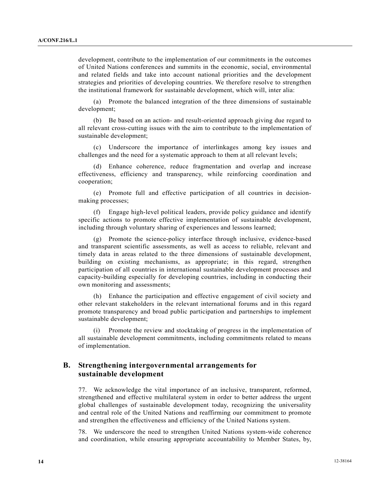development, contribute to the implementation of our commitments in the outcomes of United Nations conferences and summits in the economic, social, environmental and related fields and take into account national priorities and the development strategies and priorities of developing countries. We therefore resolve to strengthen the institutional framework for sustainable development, which will, inter alia:

 (a) Promote the balanced integration of the three dimensions of sustainable development;

 (b) Be based on an action- and result-oriented approach giving due regard to all relevant cross-cutting issues with the aim to contribute to the implementation of sustainable development;

 (c) Underscore the importance of interlinkages among key issues and challenges and the need for a systematic approach to them at all relevant levels;

 (d) Enhance coherence, reduce fragmentation and overlap and increase effectiveness, efficiency and transparency, while reinforcing coordination and cooperation;

 (e) Promote full and effective participation of all countries in decisionmaking processes;

 (f) Engage high-level political leaders, provide policy guidance and identify specific actions to promote effective implementation of sustainable development, including through voluntary sharing of experiences and lessons learned;

 (g) Promote the science-policy interface through inclusive, evidence-based and transparent scientific assessments, as well as access to reliable, relevant and timely data in areas related to the three dimensions of sustainable development, building on existing mechanisms, as appropriate; in this regard, strengthen participation of all countries in international sustainable development processes and capacity-building especially for developing countries, including in conducting their own monitoring and assessments;

 (h) Enhance the participation and effective engagement of civil society and other relevant stakeholders in the relevant international forums and in this regard promote transparency and broad public participation and partnerships to implement sustainable development;

Promote the review and stocktaking of progress in the implementation of all sustainable development commitments, including commitments related to means of implementation.

## **B. Strengthening intergovernmental arrangements for sustainable development**

77. We acknowledge the vital importance of an inclusive, transparent, reformed, strengthened and effective multilateral system in order to better address the urgent global challenges of sustainable development today, recognizing the universality and central role of the United Nations and reaffirming our commitment to promote and strengthen the effectiveness and efficiency of the United Nations system.

78. We underscore the need to strengthen United Nations system-wide coherence and coordination, while ensuring appropriate accountability to Member States, by,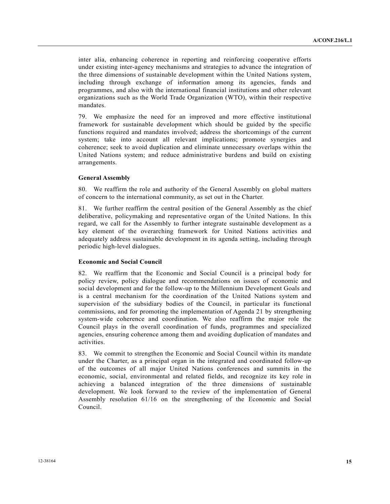inter alia, enhancing coherence in reporting and reinforcing cooperative efforts under existing inter-agency mechanisms and strategies to advance the integration of the three dimensions of sustainable development within the United Nations system, including through exchange of information among its agencies, funds and programmes, and also with the international financial institutions and other relevant organizations such as the World Trade Organization (WTO), within their respective mandates.

79. We emphasize the need for an improved and more effective institutional framework for sustainable development which should be guided by the specific functions required and mandates involved; address the shortcomings of the current system; take into account all relevant implications; promote synergies and coherence; seek to avoid duplication and eliminate unnecessary overlaps within the United Nations system; and reduce administrative burdens and build on existing arrangements.

#### **General Assembly**

80. We reaffirm the role and authority of the General Assembly on global matters of concern to the international community, as set out in the Charter.

81. We further reaffirm the central position of the General Assembly as the chief deliberative, policymaking and representative organ of the United Nations. In this regard, we call for the Assembly to further integrate sustainable development as a key element of the overarching framework for United Nations activities and adequately address sustainable development in its agenda setting, including through periodic high-level dialogues.

#### **Economic and Social Council**

82. We reaffirm that the Economic and Social Council is a principal body for policy review, policy dialogue and recommendations on issues of economic and social development and for the follow-up to the Millennium Development Goals and is a central mechanism for the coordination of the United Nations system and supervision of the subsidiary bodies of the Council, in particular its functional commissions, and for promoting the implementation of Agenda 21 by strengthening system-wide coherence and coordination. We also reaffirm the major role the Council plays in the overall coordination of funds, programmes and specialized agencies, ensuring coherence among them and avoiding duplication of mandates and activities.

83. We commit to strengthen the Economic and Social Council within its mandate under the Charter, as a principal organ in the integrated and coordinated follow-up of the outcomes of all major United Nations conferences and summits in the economic, social, environmental and related fields, and recognize its key role in achieving a balanced integration of the three dimensions of sustainable development. We look forward to the review of the implementation of General Assembly resolution 61/16 on the strengthening of the Economic and Social Council.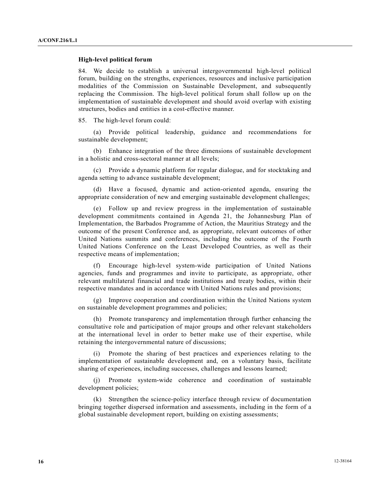#### **High-level political forum**

84. We decide to establish a universal intergovernmental high-level political forum, building on the strengths, experiences, resources and inclusive participation modalities of the Commission on Sustainable Development, and subsequently replacing the Commission. The high-level political forum shall follow up on the implementation of sustainable development and should avoid overlap with existing structures, bodies and entities in a cost-effective manner.

85. The high-level forum could:

 (a) Provide political leadership, guidance and recommendations for sustainable development;

 (b) Enhance integration of the three dimensions of sustainable development in a holistic and cross-sectoral manner at all levels;

 (c) Provide a dynamic platform for regular dialogue, and for stocktaking and agenda setting to advance sustainable development;

 (d) Have a focused, dynamic and action-oriented agenda, ensuring the appropriate consideration of new and emerging sustainable development challenges;

 (e) Follow up and review progress in the implementation of sustainable development commitments contained in Agenda 21, the Johannesburg Plan of Implementation, the Barbados Programme of Action, the Mauritius Strategy and the outcome of the present Conference and, as appropriate, relevant outcomes of other United Nations summits and conferences, including the outcome of the Fourth United Nations Conference on the Least Developed Countries, as well as their respective means of implementation;

 (f) Encourage high-level system-wide participation of United Nations agencies, funds and programmes and invite to participate, as appropriate, other relevant multilateral financial and trade institutions and treaty bodies, within their respective mandates and in accordance with United Nations rules and provisions;

 (g) Improve cooperation and coordination within the United Nations system on sustainable development programmes and policies;

 (h) Promote transparency and implementation through further enhancing the consultative role and participation of major groups and other relevant stakeholders at the international level in order to better make use of their expertise, while retaining the intergovernmental nature of discussions;

 (i) Promote the sharing of best practices and experiences relating to the implementation of sustainable development and, on a voluntary basis, facilitate sharing of experiences, including successes, challenges and lessons learned;

 (j) Promote system-wide coherence and coordination of sustainable development policies;

 (k) Strengthen the science-policy interface through review of documentation bringing together dispersed information and assessments, including in the form of a global sustainable development report, building on existing assessments;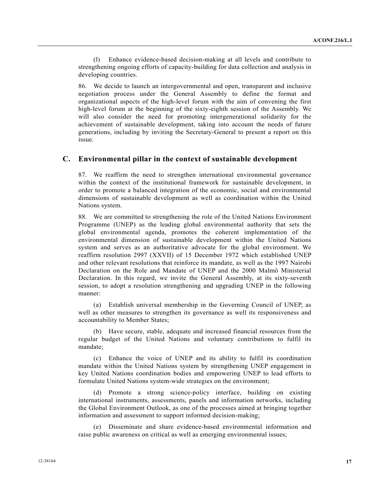(l) Enhance evidence-based decision-making at all levels and contribute to strengthening ongoing efforts of capacity-building for data collection and analysis in developing countries.

86. We decide to launch an intergovernmental and open, transparent and inclusive negotiation process under the General Assembly to define the format and organizational aspects of the high-level forum with the aim of convening the first high-level forum at the beginning of the sixty-eighth session of the Assembly. We will also consider the need for promoting intergenerational solidarity for the achievement of sustainable development, taking into account the needs of future generations, including by inviting the Secretary-General to present a report on this issue.

### **C. Environmental pillar in the context of sustainable development**

87. We reaffirm the need to strengthen international environmental governance within the context of the institutional framework for sustainable development, in order to promote a balanced integration of the economic, social and environmental dimensions of sustainable development as well as coordination within the United Nations system.

88. We are committed to strengthening the role of the United Nations Environment Programme (UNEP) as the leading global environmental authority that sets the global environmental agenda, promotes the coherent implementation of the environmental dimension of sustainable development within the United Nations system and serves as an authoritative advocate for the global environment. We reaffirm resolution 2997 (XXVII) of 15 December 1972 which established UNEP and other relevant resolutions that reinforce its mandate, as well as the 1997 Nairobi Declaration on the Role and Mandate of UNEP and the 2000 Malmö Ministerial Declaration. In this regard, we invite the General Assembly, at its sixty-seventh session, to adopt a resolution strengthening and upgrading UNEP in the following manner:

 (a) Establish universal membership in the Governing Council of UNEP, as well as other measures to strengthen its governance as well its responsiveness and accountability to Member States;

 (b) Have secure, stable, adequate and increased financial resources from the regular budget of the United Nations and voluntary contributions to fulfil its mandate;

 (c) Enhance the voice of UNEP and its ability to fulfil its coordination mandate within the United Nations system by strengthening UNEP engagement in key United Nations coordination bodies and empowering UNEP to lead efforts to formulate United Nations system-wide strategies on the environment;

 (d) Promote a strong science-policy interface, building on existing international instruments, assessments, panels and information networks, including the Global Environment Outlook, as one of the processes aimed at bringing together information and assessment to support informed decision-making;

 (e) Disseminate and share evidence-based environmental information and raise public awareness on critical as well as emerging environmental issues;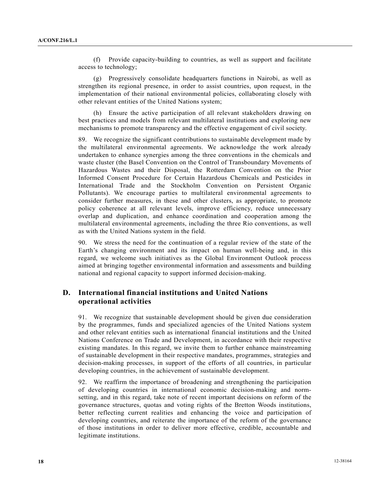(f) Provide capacity-building to countries, as well as support and facilitate access to technology;

 (g) Progressively consolidate headquarters functions in Nairobi, as well as strengthen its regional presence, in order to assist countries, upon request, in the implementation of their national environmental policies, collaborating closely with other relevant entities of the United Nations system;

 (h) Ensure the active participation of all relevant stakeholders drawing on best practices and models from relevant multilateral institutions and exploring new mechanisms to promote transparency and the effective engagement of civil society.

89. We recognize the significant contributions to sustainable development made by the multilateral environmental agreements. We acknowledge the work already undertaken to enhance synergies among the three conventions in the chemicals and waste cluster (the Basel Convention on the Control of Transboundary Movements of Hazardous Wastes and their Disposal, the Rotterdam Convention on the Prior Informed Consent Procedure for Certain Hazardous Chemicals and Pesticides in International Trade and the Stockholm Convention on Persistent Organic Pollutants). We encourage parties to multilateral environmental agreements to consider further measures, in these and other clusters, as appropriate, to promote policy coherence at all relevant levels, improve efficiency, reduce unnecessary overlap and duplication, and enhance coordination and cooperation among the multilateral environmental agreements, including the three Rio conventions, as well as with the United Nations system in the field.

90. We stress the need for the continuation of a regular review of the state of the Earth's changing environment and its impact on human well-being and, in this regard, we welcome such initiatives as the Global Environment Outlook process aimed at bringing together environmental information and assessments and building national and regional capacity to support informed decision-making.

## **D. International financial institutions and United Nations operational activities**

91. We recognize that sustainable development should be given due consideration by the programmes, funds and specialized agencies of the United Nations system and other relevant entities such as international financial institutions and the United Nations Conference on Trade and Development, in accordance with their respective existing mandates. In this regard, we invite them to further enhance mainstreaming of sustainable development in their respective mandates, programmes, strategies and decision-making processes, in support of the efforts of all countries, in particular developing countries, in the achievement of sustainable development.

92. We reaffirm the importance of broadening and strengthening the participation of developing countries in international economic decision-making and normsetting, and in this regard, take note of recent important decisions on reform of the governance structures, quotas and voting rights of the Bretton Woods institutions, better reflecting current realities and enhancing the voice and participation of developing countries, and reiterate the importance of the reform of the governance of those institutions in order to deliver more effective, credible, accountable and legitimate institutions.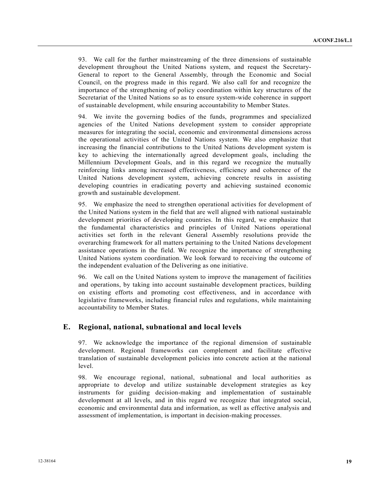93. We call for the further mainstreaming of the three dimensions of sustainable development throughout the United Nations system, and request the Secretary-General to report to the General Assembly, through the Economic and Social Council, on the progress made in this regard. We also call for and recognize the importance of the strengthening of policy coordination within key structures of the Secretariat of the United Nations so as to ensure system-wide coherence in support of sustainable development, while ensuring accountability to Member States.

94. We invite the governing bodies of the funds, programmes and specialized agencies of the United Nations development system to consider appropriate measures for integrating the social, economic and environmental dimensions across the operational activities of the United Nations system. We also emphasize that increasing the financial contributions to the United Nations development system is key to achieving the internationally agreed development goals, including the Millennium Development Goals, and in this regard we recognize the mutually reinforcing links among increased effectiveness, efficiency and coherence of the United Nations development system, achieving concrete results in assisting developing countries in eradicating poverty and achieving sustained economic growth and sustainable development.

95. We emphasize the need to strengthen operational activities for development of the United Nations system in the field that are well aligned with national sustainable development priorities of developing countries. In this regard, we emphasize that the fundamental characteristics and principles of United Nations operational activities set forth in the relevant General Assembly resolutions provide the overarching framework for all matters pertaining to the United Nations development assistance operations in the field. We recognize the importance of strengthening United Nations system coordination. We look forward to receiving the outcome of the independent evaluation of the Delivering as one initiative.

96. We call on the United Nations system to improve the management of facilities and operations, by taking into account sustainable development practices, building on existing efforts and promoting cost effectiveness, and in accordance with legislative frameworks, including financial rules and regulations, while maintaining accountability to Member States.

## **E. Regional, national, subnational and local levels**

97. We acknowledge the importance of the regional dimension of sustainable development. Regional frameworks can complement and facilitate effective translation of sustainable development policies into concrete action at the national level.

98. We encourage regional, national, subnational and local authorities as appropriate to develop and utilize sustainable development strategies as key instruments for guiding decision-making and implementation of sustainable development at all levels, and in this regard we recognize that integrated social, economic and environmental data and information, as well as effective analysis and assessment of implementation, is important in decision-making processes.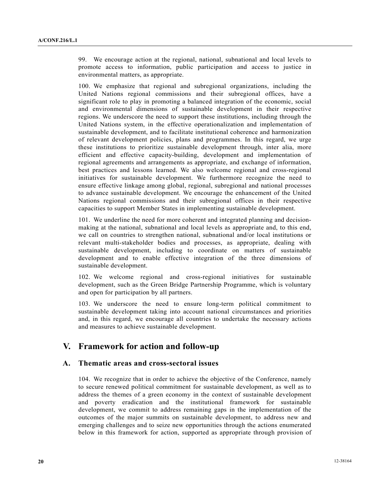99. We encourage action at the regional, national, subnational and local levels to promote access to information, public participation and access to justice in environmental matters, as appropriate.

100. We emphasize that regional and subregional organizations, including the United Nations regional commissions and their subregional offices, have a significant role to play in promoting a balanced integration of the economic, social and environmental dimensions of sustainable development in their respective regions. We underscore the need to support these institutions, including through the United Nations system, in the effective operationalization and implementation of sustainable development, and to facilitate institutional coherence and harmonization of relevant development policies, plans and programmes. In this regard, we urge these institutions to prioritize sustainable development through, inter alia, more efficient and effective capacity-building, development and implementation of regional agreements and arrangements as appropriate, and exchange of information, best practices and lessons learned. We also welcome regional and cross-regional initiatives for sustainable development. We furthermore recognize the need to ensure effective linkage among global, regional, subregional and national processes to advance sustainable development. We encourage the enhancement of the United Nations regional commissions and their subregional offices in their respective capacities to support Member States in implementing sustainable development.

101. We underline the need for more coherent and integrated planning and decisionmaking at the national, subnational and local levels as appropriate and, to this end, we call on countries to strengthen national, subnational and/or local institutions or relevant multi-stakeholder bodies and processes, as appropriate, dealing with sustainable development, including to coordinate on matters of sustainable development and to enable effective integration of the three dimensions of sustainable development.

102. We welcome regional and cross-regional initiatives for sustainable development, such as the Green Bridge Partnership Programme, which is voluntary and open for participation by all partners.

103. We underscore the need to ensure long-term political commitment to sustainable development taking into account national circumstances and priorities and, in this regard, we encourage all countries to undertake the necessary actions and measures to achieve sustainable development.

# **V. Framework for action and follow-up**

## **A. Thematic areas and cross-sectoral issues**

104. We recognize that in order to achieve the objective of the Conference, namely to secure renewed political commitment for sustainable development, as well as to address the themes of a green economy in the context of sustainable development and poverty eradication and the institutional framework for sustainable development, we commit to address remaining gaps in the implementation of the outcomes of the major summits on sustainable development, to address new and emerging challenges and to seize new opportunities through the actions enumerated below in this framework for action, supported as appropriate through provision of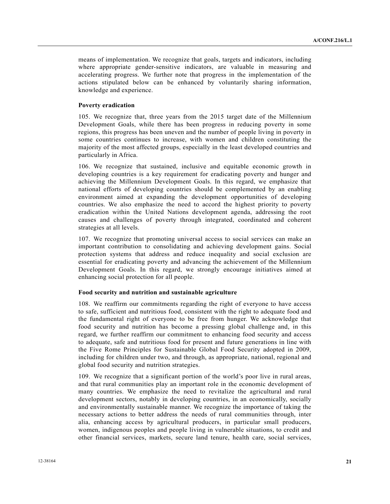means of implementation. We recognize that goals, targets and indicators, including where appropriate gender-sensitive indicators, are valuable in measuring and accelerating progress. We further note that progress in the implementation of the actions stipulated below can be enhanced by voluntarily sharing information, knowledge and experience.

#### **Poverty eradication**

105. We recognize that, three years from the 2015 target date of the Millennium Development Goals, while there has been progress in reducing poverty in some regions, this progress has been uneven and the number of people living in poverty in some countries continues to increase, with women and children constituting the majority of the most affected groups, especially in the least developed countries and particularly in Africa.

106. We recognize that sustained, inclusive and equitable economic growth in developing countries is a key requirement for eradicating poverty and hunger and achieving the Millennium Development Goals. In this regard, we emphasize that national efforts of developing countries should be complemented by an enabling environment aimed at expanding the development opportunities of developing countries. We also emphasize the need to accord the highest priority to poverty eradication within the United Nations development agenda, addressing the root causes and challenges of poverty through integrated, coordinated and coherent strategies at all levels.

107. We recognize that promoting universal access to social services can make an important contribution to consolidating and achieving development gains. Social protection systems that address and reduce inequality and social exclusion are essential for eradicating poverty and advancing the achievement of the Millennium Development Goals. In this regard, we strongly encourage initiatives aimed at enhancing social protection for all people.

#### **Food security and nutrition and sustainable agriculture**

108. We reaffirm our commitments regarding the right of everyone to have access to safe, sufficient and nutritious food, consistent with the right to adequate food and the fundamental right of everyone to be free from hunger. We acknowledge that food security and nutrition has become a pressing global challenge and, in this regard, we further reaffirm our commitment to enhancing food security and access to adequate, safe and nutritious food for present and future generations in line with the Five Rome Principles for Sustainable Global Food Security adopted in 2009, including for children under two, and through, as appropriate, national, regional and global food security and nutrition strategies.

109. We recognize that a significant portion of the world's poor live in rural areas, and that rural communities play an important role in the economic development of many countries. We emphasize the need to revitalize the agricultural and rural development sectors, notably in developing countries, in an economically, socially and environmentally sustainable manner. We recognize the importance of taking the necessary actions to better address the needs of rural communities through, inter alia, enhancing access by agricultural producers, in particular small producers, women, indigenous peoples and people living in vulnerable situations, to credit and other financial services, markets, secure land tenure, health care, social services,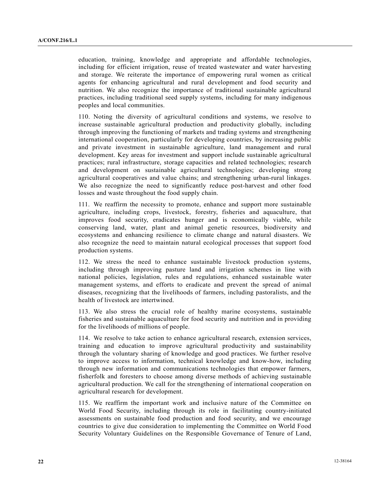education, training, knowledge and appropriate and affordable technologies, including for efficient irrigation, reuse of treated wastewater and water harvesting and storage. We reiterate the importance of empowering rural women as critical agents for enhancing agricultural and rural development and food security and nutrition. We also recognize the importance of traditional sustainable agricultural practices, including traditional seed supply systems, including for many indigenous peoples and local communities.

110. Noting the diversity of agricultural conditions and systems, we resolve to increase sustainable agricultural production and productivity globally, including through improving the functioning of markets and trading systems and strengthening international cooperation, particularly for developing countries, by increasing public and private investment in sustainable agriculture, land management and rural development. Key areas for investment and support include sustainable agricultural practices; rural infrastructure, storage capacities and related technologies; research and development on sustainable agricultural technologies; developing strong agricultural cooperatives and value chains; and strengthening urban-rural linkages. We also recognize the need to significantly reduce post-harvest and other food losses and waste throughout the food supply chain.

111. We reaffirm the necessity to promote, enhance and support more sustainable agriculture, including crops, livestock, forestry, fisheries and aquaculture, that improves food security, eradicates hunger and is economically viable, while conserving land, water, plant and animal genetic resources, biodiversity and ecosystems and enhancing resilience to climate change and natural disasters. We also recognize the need to maintain natural ecological processes that support food production systems.

112. We stress the need to enhance sustainable livestock production systems, including through improving pasture land and irrigation schemes in line with national policies, legislation, rules and regulations, enhanced sustainable water management systems, and efforts to eradicate and prevent the spread of animal diseases, recognizing that the livelihoods of farmers, including pastoralists, and the health of livestock are intertwined.

113. We also stress the crucial role of healthy marine ecosystems, sustainable fisheries and sustainable aquaculture for food security and nutrition and in providing for the livelihoods of millions of people.

114. We resolve to take action to enhance agricultural research, extension services, training and education to improve agricultural productivity and sustainability through the voluntary sharing of knowledge and good practices. We further resolve to improve access to information, technical knowledge and know-how, including through new information and communications technologies that empower farmers, fisherfolk and foresters to choose among diverse methods of achieving sustainable agricultural production. We call for the strengthening of international cooperation on agricultural research for development.

115. We reaffirm the important work and inclusive nature of the Committee on World Food Security, including through its role in facilitating country-initiated assessments on sustainable food production and food security, and we encourage countries to give due consideration to implementing the Committee on World Food Security Voluntary Guidelines on the Responsible Governance of Tenure of Land,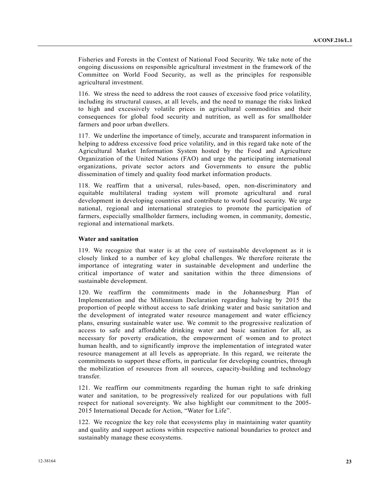Fisheries and Forests in the Context of National Food Security. We take note of the ongoing discussions on responsible agricultural investment in the framework of the Committee on World Food Security, as well as the principles for responsible agricultural investment.

116. We stress the need to address the root causes of excessive food price volatility, including its structural causes, at all levels, and the need to manage the risks linked to high and excessively volatile prices in agricultural commodities and their consequences for global food security and nutrition, as well as for smallholder farmers and poor urban dwellers.

117. We underline the importance of timely, accurate and transparent information in helping to address excessive food price volatility, and in this regard take note of the Agricultural Market Information System hosted by the Food and Agriculture Organization of the United Nations (FAO) and urge the participating international organizations, private sector actors and Governments to ensure the public dissemination of timely and quality food market information products.

118. We reaffirm that a universal, rules-based, open, non-discriminatory and equitable multilateral trading system will promote agricultural and rural development in developing countries and contribute to world food security. We urge national, regional and international strategies to promote the participation of farmers, especially smallholder farmers, including women, in community, domestic, regional and international markets.

#### **Water and sanitation**

119. We recognize that water is at the core of sustainable development as it is closely linked to a number of key global challenges. We therefore reiterate the importance of integrating water in sustainable development and underline the critical importance of water and sanitation within the three dimensions of sustainable development.

120. We reaffirm the commitments made in the Johannesburg Plan of Implementation and the Millennium Declaration regarding halving by 2015 the proportion of people without access to safe drinking water and basic sanitation and the development of integrated water resource management and water efficiency plans, ensuring sustainable water use. We commit to the progressive realization of access to safe and affordable drinking water and basic sanitation for all, as necessary for poverty eradication, the empowerment of women and to protect human health, and to significantly improve the implementation of integrated water resource management at all levels as appropriate. In this regard, we reiterate the commitments to support these efforts, in particular for developing countries, through the mobilization of resources from all sources, capacity-building and technology transfer.

121. We reaffirm our commitments regarding the human right to safe drinking water and sanitation, to be progressively realized for our populations with full respect for national sovereignty. We also highlight our commitment to the 2005- 2015 International Decade for Action, "Water for Life".

122. We recognize the key role that ecosystems play in maintaining water quantity and quality and support actions within respective national boundaries to protect and sustainably manage these ecosystems.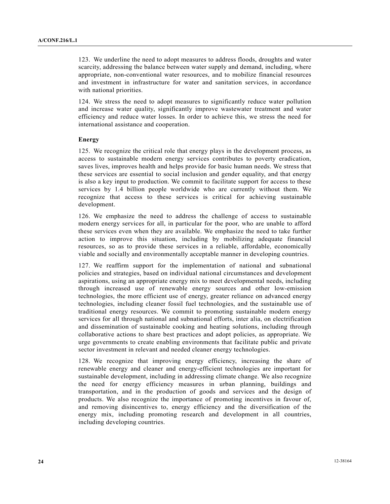123. We underline the need to adopt measures to address floods, droughts and water scarcity, addressing the balance between water supply and demand, including, where appropriate, non-conventional water resources, and to mobilize financial resources and investment in infrastructure for water and sanitation services, in accordance with national priorities.

124. We stress the need to adopt measures to significantly reduce water pollution and increase water quality, significantly improve wastewater treatment and water efficiency and reduce water losses. In order to achieve this, we stress the need for international assistance and cooperation.

#### **Energy**

125. We recognize the critical role that energy plays in the development process, as access to sustainable modern energy services contributes to poverty eradication, saves lives, improves health and helps provide for basic human needs. We stress that these services are essential to social inclusion and gender equality, and that energy is also a key input to production. We commit to facilitate support for access to these services by 1.4 billion people worldwide who are currently without them. We recognize that access to these services is critical for achieving sustainable development.

126. We emphasize the need to address the challenge of access to sustainable modern energy services for all, in particular for the poor, who are unable to afford these services even when they are available. We emphasize the need to take further action to improve this situation, including by mobilizing adequate financial resources, so as to provide these services in a reliable, affordable, economically viable and socially and environmentally acceptable manner in developing countries.

127. We reaffirm support for the implementation of national and subnational policies and strategies, based on individual national circumstances and development aspirations, using an appropriate energy mix to meet developmental needs, including through increased use of renewable energy sources and other low-emission technologies, the more efficient use of energy, greater reliance on advanced energy technologies, including cleaner fossil fuel technologies, and the sustainable use of traditional energy resources. We commit to promoting sustainable modern energy services for all through national and subnational efforts, inter alia, on electrification and dissemination of sustainable cooking and heating solutions, including through collaborative actions to share best practices and adopt policies, as appropriate. We urge governments to create enabling environments that facilitate public and private sector investment in relevant and needed cleaner energy technologies.

128. We recognize that improving energy efficiency, increasing the share of renewable energy and cleaner and energy-efficient technologies are important for sustainable development, including in addressing climate change. We also recognize the need for energy efficiency measures in urban planning, buildings and transportation, and in the production of goods and services and the design of products. We also recognize the importance of promoting incentives in favour of, and removing disincentives to, energy efficiency and the diversification of the energy mix, including promoting research and development in all countries, including developing countries.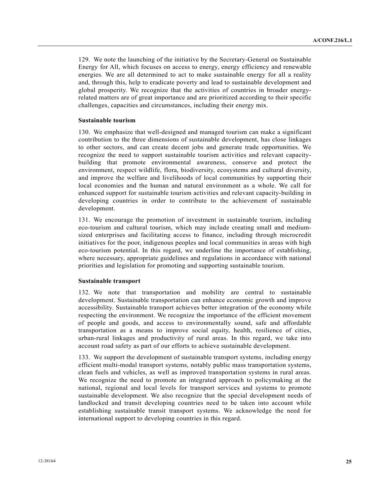129. We note the launching of the initiative by the Secretary-General on Sustainable Energy for All, which focuses on access to energy, energy efficiency and renewable energies. We are all determined to act to make sustainable energy for all a reality and, through this, help to eradicate poverty and lead to sustainable development and global prosperity. We recognize that the activities of countries in broader energyrelated matters are of great importance and are prioritized according to their specific challenges, capacities and circumstances, including their energy mix.

#### **Sustainable tourism**

130. We emphasize that well-designed and managed tourism can make a significant contribution to the three dimensions of sustainable development, has close linkages to other sectors, and can create decent jobs and generate trade opportunities. We recognize the need to support sustainable tourism activities and relevant capacitybuilding that promote environmental awareness, conserve and protect the environment, respect wildlife, flora, biodiversity, ecosystems and cultural diversity, and improve the welfare and livelihoods of local communities by supporting their local economies and the human and natural environment as a whole. We call for enhanced support for sustainable tourism activities and relevant capacity-building in developing countries in order to contribute to the achievement of sustainable development.

131. We encourage the promotion of investment in sustainable tourism, including eco-tourism and cultural tourism, which may include creating small and mediumsized enterprises and facilitating access to finance, including through microcredit initiatives for the poor, indigenous peoples and local communities in areas with high eco-tourism potential. In this regard, we underline the importance of establishing, where necessary, appropriate guidelines and regulations in accordance with national priorities and legislation for promoting and supporting sustainable tourism.

#### **Sustainable transport**

132. We note that transportation and mobility are central to sustainable development. Sustainable transportation can enhance economic growth and improve accessibility. Sustainable transport achieves better integration of the economy while respecting the environment. We recognize the importance of the efficient movement of people and goods, and access to environmentally sound, safe and affordable transportation as a means to improve social equity, health, resilience of cities, urban-rural linkages and productivity of rural areas. In this regard, we take into account road safety as part of our efforts to achieve sustainable development.

133. We support the development of sustainable transport systems, including energy efficient multi-modal transport systems, notably public mass transportation systems, clean fuels and vehicles, as well as improved transportation systems in rural areas. We recognize the need to promote an integrated approach to policymaking at the national, regional and local levels for transport services and systems to promote sustainable development. We also recognize that the special development needs of landlocked and transit developing countries need to be taken into account while establishing sustainable transit transport systems. We acknowledge the need for international support to developing countries in this regard.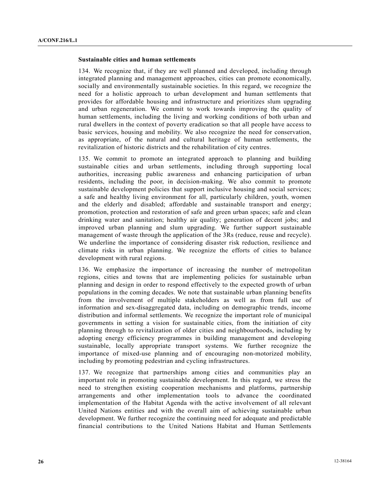#### **Sustainable cities and human settlements**

134. We recognize that, if they are well planned and developed, including through integrated planning and management approaches, cities can promote economically, socially and environmentally sustainable societies. In this regard, we recognize the need for a holistic approach to urban development and human settlements that provides for affordable housing and infrastructure and prioritizes slum upgrading and urban regeneration. We commit to work towards improving the quality of human settlements, including the living and working conditions of both urban and rural dwellers in the context of poverty eradication so that all people have access to basic services, housing and mobility. We also recognize the need for conservation, as appropriate, of the natural and cultural heritage of human settlements, the revitalization of historic districts and the rehabilitation of city centres.

135. We commit to promote an integrated approach to planning and building sustainable cities and urban settlements, including through supporting local authorities, increasing public awareness and enhancing participation of urban residents, including the poor, in decision-making. We also commit to promote sustainable development policies that support inclusive housing and social services; a safe and healthy living environment for all, particularly children, youth, women and the elderly and disabled; affordable and sustainable transport and energy; promotion, protection and restoration of safe and green urban spaces; safe and clean drinking water and sanitation; healthy air quality; generation of decent jobs; and improved urban planning and slum upgrading. We further support sustainable management of waste through the application of the 3Rs (reduce, reuse and recycle). We underline the importance of considering disaster risk reduction, resilience and climate risks in urban planning. We recognize the efforts of cities to balance development with rural regions.

136. We emphasize the importance of increasing the number of metropolitan regions, cities and towns that are implementing policies for sustainable urban planning and design in order to respond effectively to the expected growth of urban populations in the coming decades. We note that sustainable urban planning benefits from the involvement of multiple stakeholders as well as from full use of information and sex-disaggregated data, including on demographic trends, income distribution and informal settlements. We recognize the important role of municipal governments in setting a vision for sustainable cities, from the initiation of city planning through to revitalization of older cities and neighbourhoods, including by adopting energy efficiency programmes in building management and developing sustainable, locally appropriate transport systems. We further recognize the importance of mixed-use planning and of encouraging non-motorized mobility, including by promoting pedestrian and cycling infrastructures.

137. We recognize that partnerships among cities and communities play an important role in promoting sustainable development. In this regard, we stress the need to strengthen existing cooperation mechanisms and platforms, partnership arrangements and other implementation tools to advance the coordinated implementation of the Habitat Agenda with the active involvement of all relevant United Nations entities and with the overall aim of achieving sustainable urban development. We further recognize the continuing need for adequate and predictable financial contributions to the United Nations Habitat and Human Settlements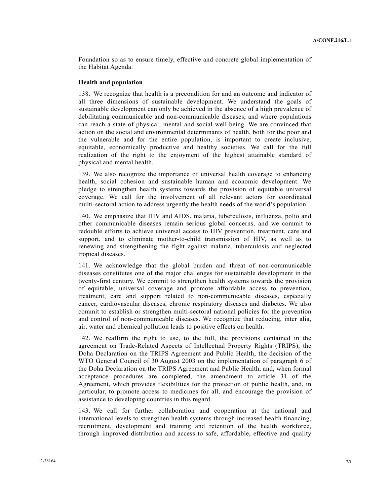Foundation so as to ensure timely, effective and concrete global implementation of the Habitat Agenda.

#### **Health and population**

138. We recognize that health is a precondition for and an outcome and indicator of all three dimensions of sustainable development. We understand the goals of sustainable development can only be achieved in the absence of a high prevalence of debilitating communicable and non-communicable diseases, and where populations can reach a state of physical, mental and social well-being. We are convinced that action on the social and environmental determinants of health, both for the poor and the vulnerable and for the entire population, is important to create inclusive, equitable, economically productive and healthy societies. We call for the full realization of the right to the enjoyment of the highest attainable standard of physical and mental health.

139. We also recognize the importance of universal health coverage to enhancing health, social cohesion and sustainable human and economic development. We pledge to strengthen health systems towards the provision of equitable universal coverage. We call for the involvement of all relevant actors for coordinated multi-sectoral action to address urgently the health needs of the world's population.

140. We emphasize that HIV and AIDS, malaria, tuberculosis, influenza, polio and other communicable diseases remain serious global concerns, and we commit to redouble efforts to achieve universal access to HIV prevention, treatment, care and support, and to eliminate mother-to-child transmission of HIV, as well as to renewing and strengthening the fight against malaria, tuberculosis and neglected tropical diseases.

141. We acknowledge that the global burden and threat of non-communicable diseases constitutes one of the major challenges for sustainable development in the twenty-first century. We commit to strengthen health systems towards the provision of equitable, universal coverage and promote affordable access to prevention, treatment, care and support related to non-communicable diseases, especially cancer, cardiovascular diseases, chronic respiratory diseases and diabetes. We also commit to establish or strengthen multi-sectoral national policies for the prevention and control of non-communicable diseases. We recognize that reducing, inter alia, air, water and chemical pollution leads to positive effects on health.

142. We reaffirm the right to use, to the full, the provisions contained in the agreement on Trade-Related Aspects of Intellectual Property Rights (TRIPS), the Doha Declaration on the TRIPS Agreement and Public Health, the decision of the WTO General Council of 30 August 2003 on the implementation of paragraph 6 of the Doha Declaration on the TRIPS Agreement and Public Health, and, when formal acceptance procedures are completed, the amendment to article 31 of the Agreement, which provides flexibilities for the protection of public health, and, in particular, to promote access to medicines for all, and encourage the provision of assistance to developing countries in this regard.

143. We call for further collaboration and cooperation at the national and international levels to strengthen health systems through increased health financing, recruitment, development and training and retention of the health workforce, through improved distribution and access to safe, affordable, effective and quality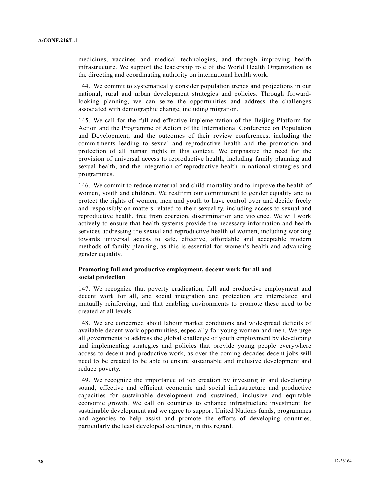medicines, vaccines and medical technologies, and through improving health infrastructure. We support the leadership role of the World Health Organization as the directing and coordinating authority on international health work.

144. We commit to systematically consider population trends and projections in our national, rural and urban development strategies and policies. Through forwardlooking planning, we can seize the opportunities and address the challenges associated with demographic change, including migration.

145. We call for the full and effective implementation of the Beijing Platform for Action and the Programme of Action of the International Conference on Population and Development, and the outcomes of their review conferences, including the commitments leading to sexual and reproductive health and the promotion and protection of all human rights in this context. We emphasize the need for the provision of universal access to reproductive health, including family planning and sexual health, and the integration of reproductive health in national strategies and programmes.

146. We commit to reduce maternal and child mortality and to improve the health of women, youth and children. We reaffirm our commitment to gender equality and to protect the rights of women, men and youth to have control over and decide freely and responsibly on matters related to their sexuality, including access to sexual and reproductive health, free from coercion, discrimination and violence. We will work actively to ensure that health systems provide the necessary information and health services addressing the sexual and reproductive health of women, including working towards universal access to safe, effective, affordable and acceptable modern methods of family planning, as this is essential for women's health and advancing gender equality.

## **Promoting full and productive employment, decent work for all and social protection**

147. We recognize that poverty eradication, full and productive employment and decent work for all, and social integration and protection are interrelated and mutually reinforcing, and that enabling environments to promote these need to be created at all levels.

148. We are concerned about labour market conditions and widespread deficits of available decent work opportunities, especially for young women and men. We urge all governments to address the global challenge of youth employment by developing and implementing strategies and policies that provide young people everywhere access to decent and productive work, as over the coming decades decent jobs will need to be created to be able to ensure sustainable and inclusive development and reduce poverty.

149. We recognize the importance of job creation by investing in and developing sound, effective and efficient economic and social infrastructure and productive capacities for sustainable development and sustained, inclusive and equitable economic growth. We call on countries to enhance infrastructure investment for sustainable development and we agree to support United Nations funds, programmes and agencies to help assist and promote the efforts of developing countries, particularly the least developed countries, in this regard.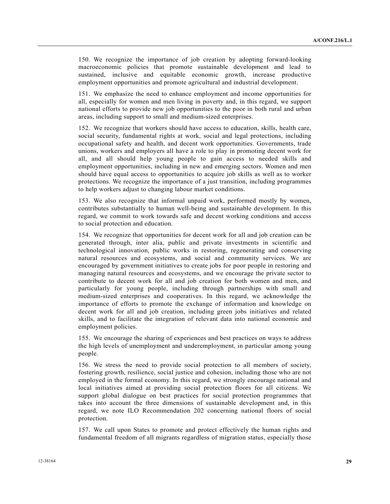150. We recognize the importance of job creation by adopting forward-looking macroeconomic policies that promote sustainable development and lead to sustained, inclusive and equitable economic growth, increase productive employment opportunities and promote agricultural and industrial development.

151. We emphasize the need to enhance employment and income opportunities for all, especially for women and men living in poverty and, in this regard, we support national efforts to provide new job opportunities to the poor in both rural and urban areas, including support to small and medium-sized enterprises.

152. We recognize that workers should have access to education, skills, health care, social security, fundamental rights at work, social and legal protections, including occupational safety and health, and decent work opportunities. Governments, trade unions, workers and employers all have a role to play in promoting decent work for all, and all should help young people to gain access to needed skills and employment opportunities, including in new and emerging sectors. Women and men should have equal access to opportunities to acquire job skills as well as to worker protections. We recognize the importance of a just transition, including programmes to help workers adjust to changing labour market conditions.

153. We also recognize that informal unpaid work, performed mostly by women, contributes substantially to human well-being and sustainable development. In this regard, we commit to work towards safe and decent working conditions and access to social protection and education.

154. We recognize that opportunities for decent work for all and job creation can be generated through, inter alia, public and private investments in scientific and technological innovation, public works in restoring, regenerating and conserving natural resources and ecosystems, and social and community services. We are encouraged by government initiatives to create jobs for poor people in restoring and managing natural resources and ecosystems, and we encourage the private sector to contribute to decent work for all and job creation for both women and men, and particularly for young people, including through partnerships with small and medium-sized enterprises and cooperatives. In this regard, we acknowledge the importance of efforts to promote the exchange of information and knowledge on decent work for all and job creation, including green jobs initiatives and related skills, and to facilitate the integration of relevant data into national economic and employment policies.

155. We encourage the sharing of experiences and best practices on ways to address the high levels of unemployment and underemployment, in particular among young people.

156. We stress the need to provide social protection to all members of society, fostering growth, resilience, social justice and cohesion, including those who are not employed in the formal economy. In this regard, we strongly encourage national and local initiatives aimed at providing social protection floors for all citizens. We support global dialogue on best practices for social protection programmes that takes into account the three dimensions of sustainable development and, in this regard, we note ILO Recommendation 202 concerning national floors of social protection.

157. We call upon States to promote and protect effectively the human rights and fundamental freedom of all migrants regardless of migration status, especially those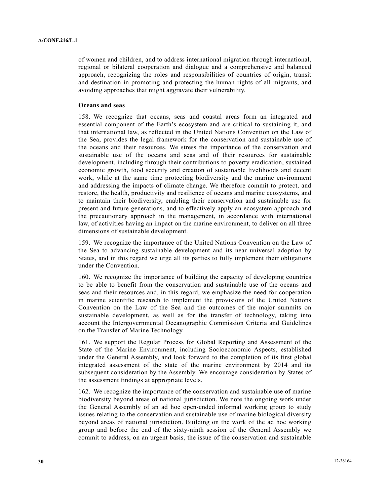of women and children, and to address international migration through international, regional or bilateral cooperation and dialogue and a comprehensive and balanced approach, recognizing the roles and responsibilities of countries of origin, transit and destination in promoting and protecting the human rights of all migrants, and avoiding approaches that might aggravate their vulnerability.

#### **Oceans and seas**

158. We recognize that oceans, seas and coastal areas form an integrated and essential component of the Earth's ecosystem and are critical to sustaining it, and that international law, as reflected in the United Nations Convention on the Law of the Sea, provides the legal framework for the conservation and sustainable use of the oceans and their resources. We stress the importance of the conservation and sustainable use of the oceans and seas and of their resources for sustainable development, including through their contributions to poverty eradication, sustained economic growth, food security and creation of sustainable livelihoods and decent work, while at the same time protecting biodiversity and the marine environment and addressing the impacts of climate change. We therefore commit to protect, and restore, the health, productivity and resilience of oceans and marine ecosystems, and to maintain their biodiversity, enabling their conservation and sustainable use for present and future generations, and to effectively apply an ecosystem approach and the precautionary approach in the management, in accordance with international law, of activities having an impact on the marine environment, to deliver on all three dimensions of sustainable development.

159. We recognize the importance of the United Nations Convention on the Law of the Sea to advancing sustainable development and its near universal adoption by States, and in this regard we urge all its parties to fully implement their obligations under the Convention.

160. We recognize the importance of building the capacity of developing countries to be able to benefit from the conservation and sustainable use of the oceans and seas and their resources and, in this regard, we emphasize the need for cooperation in marine scientific research to implement the provisions of the United Nations Convention on the Law of the Sea and the outcomes of the major summits on sustainable development, as well as for the transfer of technology, taking into account the Intergovernmental Oceanographic Commission Criteria and Guidelines on the Transfer of Marine Technology.

161. We support the Regular Process for Global Reporting and Assessment of the State of the Marine Environment, including Socioeconomic Aspects, established under the General Assembly, and look forward to the completion of its first global integrated assessment of the state of the marine environment by 2014 and its subsequent consideration by the Assembly. We encourage consideration by States of the assessment findings at appropriate levels.

162. We recognize the importance of the conservation and sustainable use of marine biodiversity beyond areas of national jurisdiction. We note the ongoing work under the General Assembly of an ad hoc open-ended informal working group to study issues relating to the conservation and sustainable use of marine biological diversity beyond areas of national jurisdiction. Building on the work of the ad hoc working group and before the end of the sixty-ninth session of the General Assembly we commit to address, on an urgent basis, the issue of the conservation and sustainable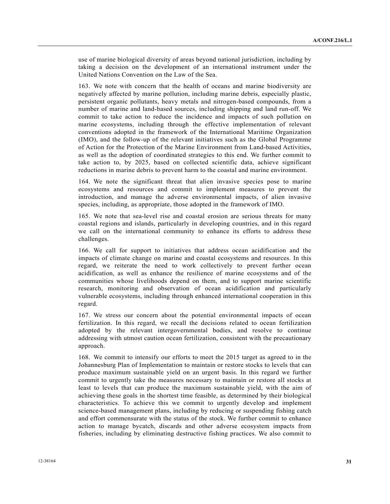use of marine biological diversity of areas beyond national jurisdiction, including by taking a decision on the development of an international instrument under the United Nations Convention on the Law of the Sea.

163. We note with concern that the health of oceans and marine biodiversity are negatively affected by marine pollution, including marine debris, especially plastic, persistent organic pollutants, heavy metals and nitrogen-based compounds, from a number of marine and land-based sources, including shipping and land run-off. We commit to take action to reduce the incidence and impacts of such pollution on marine ecosystems, including through the effective implementation of relevant conventions adopted in the framework of the International Maritime Organization (IMO), and the follow-up of the relevant initiatives such as the Global Programme of Action for the Protection of the Marine Environment from Land-based Activities, as well as the adoption of coordinated strategies to this end. We further commit to take action to, by 2025, based on collected scientific data, achieve significant reductions in marine debris to prevent harm to the coastal and marine environment.

164. We note the significant threat that alien invasive species pose to marine ecosystems and resources and commit to implement measures to prevent the introduction, and manage the adverse environmental impacts, of alien invasive species, including, as appropriate, those adopted in the framework of IMO.

165. We note that sea-level rise and coastal erosion are serious threats for many coastal regions and islands, particularly in developing countries, and in this regard we call on the international community to enhance its efforts to address these challenges.

166. We call for support to initiatives that address ocean acidification and the impacts of climate change on marine and coastal ecosystems and resources. In this regard, we reiterate the need to work collectively to prevent further ocean acidification, as well as enhance the resilience of marine ecosystems and of the communities whose livelihoods depend on them, and to support marine scientific research, monitoring and observation of ocean acidification and particularly vulnerable ecosystems, including through enhanced international cooperation in this regard.

167. We stress our concern about the potential environmental impacts of ocean fertilization. In this regard, we recall the decisions related to ocean fertilization adopted by the relevant intergovernmental bodies, and resolve to continue addressing with utmost caution ocean fertilization, consistent with the precautionary approach.

168. We commit to intensify our efforts to meet the 2015 target as agreed to in the Johannesburg Plan of Implementation to maintain or restore stocks to levels that can produce maximum sustainable yield on an urgent basis. In this regard we further commit to urgently take the measures necessary to maintain or restore all stocks at least to levels that can produce the maximum sustainable yield, with the aim of achieving these goals in the shortest time feasible, as determined by their biological characteristics. To achieve this we commit to urgently develop and implement science-based management plans, including by reducing or suspending fishing catch and effort commensurate with the status of the stock. We further commit to enhance action to manage bycatch, discards and other adverse ecosystem impacts from fisheries, including by eliminating destructive fishing practices. We also commit to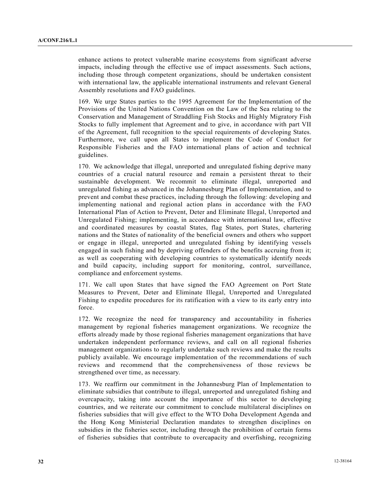enhance actions to protect vulnerable marine ecosystems from significant adverse impacts, including through the effective use of impact assessments. Such actions, including those through competent organizations, should be undertaken consistent with international law, the applicable international instruments and relevant General Assembly resolutions and FAO guidelines.

169. We urge States parties to the 1995 Agreement for the Implementation of the Provisions of the United Nations Convention on the Law of the Sea relating to the Conservation and Management of Straddling Fish Stocks and Highly Migratory Fish Stocks to fully implement that Agreement and to give, in accordance with part VII of the Agreement, full recognition to the special requirements of developing States. Furthermore, we call upon all States to implement the Code of Conduct for Responsible Fisheries and the FAO international plans of action and technical guidelines.

170. We acknowledge that illegal, unreported and unregulated fishing deprive many countries of a crucial natural resource and remain a persistent threat to their sustainable development. We recommit to eliminate illegal, unreported and unregulated fishing as advanced in the Johannesburg Plan of Implementation, and to prevent and combat these practices, including through the following: developing and implementing national and regional action plans in accordance with the FAO International Plan of Action to Prevent, Deter and Eliminate Illegal, Unreported and Unregulated Fishing; implementing, in accordance with international law, effective and coordinated measures by coastal States, flag States, port States, chartering nations and the States of nationality of the beneficial owners and others who support or engage in illegal, unreported and unregulated fishing by identifying vessels engaged in such fishing and by depriving offenders of the benefits accruing from it; as well as cooperating with developing countries to systematically identify needs and build capacity, including support for monitoring, control, surveillance, compliance and enforcement systems.

171. We call upon States that have signed the FAO Agreement on Port State Measures to Prevent, Deter and Eliminate Illegal, Unreported and Unregulated Fishing to expedite procedures for its ratification with a view to its early entry into force.

172. We recognize the need for transparency and accountability in fisheries management by regional fisheries management organizations. We recognize the efforts already made by those regional fisheries management organizations that have undertaken independent performance reviews, and call on all regional fisheries management organizations to regularly undertake such reviews and make the results publicly available. We encourage implementation of the recommendations of such reviews and recommend that the comprehensiveness of those reviews be strengthened over time, as necessary.

173. We reaffirm our commitment in the Johannesburg Plan of Implementation to eliminate subsidies that contribute to illegal, unreported and unregulated fishing and overcapacity, taking into account the importance of this sector to developing countries, and we reiterate our commitment to conclude multilateral disciplines on fisheries subsidies that will give effect to the WTO Doha Development Agenda and the Hong Kong Ministerial Declaration mandates to strengthen disciplines on subsidies in the fisheries sector, including through the prohibition of certain forms of fisheries subsidies that contribute to overcapacity and overfishing, recognizing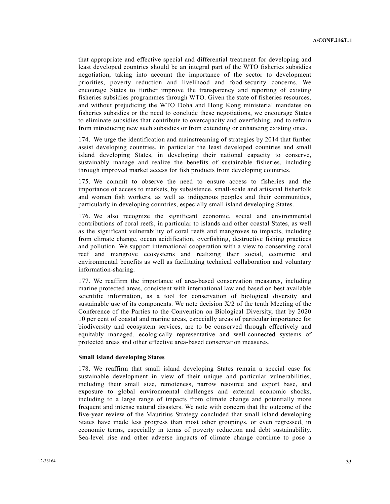that appropriate and effective special and differential treatment for developing and least developed countries should be an integral part of the WTO fisheries subsidies negotiation, taking into account the importance of the sector to development priorities, poverty reduction and livelihood and food-security concerns. We encourage States to further improve the transparency and reporting of existing fisheries subsidies programmes through WTO. Given the state of fisheries resources, and without prejudicing the WTO Doha and Hong Kong ministerial mandates on fisheries subsidies or the need to conclude these negotiations, we encourage States to eliminate subsidies that contribute to overcapacity and overfishing, and to refrain from introducing new such subsidies or from extending or enhancing existing ones.

174. We urge the identification and mainstreaming of strategies by 2014 that further assist developing countries, in particular the least developed countries and small island developing States, in developing their national capacity to conserve, sustainably manage and realize the benefits of sustainable fisheries, including through improved market access for fish products from developing countries.

175. We commit to observe the need to ensure access to fisheries and the importance of access to markets, by subsistence, small-scale and artisanal fisherfolk and women fish workers, as well as indigenous peoples and their communities, particularly in developing countries, especially small island developing States.

176. We also recognize the significant economic, social and environmental contributions of coral reefs, in particular to islands and other coastal States, as well as the significant vulnerability of coral reefs and mangroves to impacts, including from climate change, ocean acidification, overfishing, destructive fishing practices and pollution. We support international cooperation with a view to conserving coral reef and mangrove ecosystems and realizing their social, economic and environmental benefits as well as facilitating technical collaboration and voluntary information-sharing.

177. We reaffirm the importance of area-based conservation measures, including marine protected areas, consistent with international law and based on best available scientific information, as a tool for conservation of biological diversity and sustainable use of its components. We note decision  $X/2$  of the tenth Meeting of the Conference of the Parties to the Convention on Biological Diversity, that by 2020 10 per cent of coastal and marine areas, especially areas of particular importance for biodiversity and ecosystem services, are to be conserved through effectively and equitably managed, ecologically representative and well-connected systems of protected areas and other effective area-based conservation measures.

#### **Small island developing States**

178. We reaffirm that small island developing States remain a special case for sustainable development in view of their unique and particular vulnerabilities, including their small size, remoteness, narrow resource and export base, and exposure to global environmental challenges and external economic shocks, including to a large range of impacts from climate change and potentially more frequent and intense natural disasters. We note with concern that the outcome of the five-year review of the Mauritius Strategy concluded that small island developing States have made less progress than most other groupings, or even regressed, in economic terms, especially in terms of poverty reduction and debt sustainability. Sea-level rise and other adverse impacts of climate change continue to pose a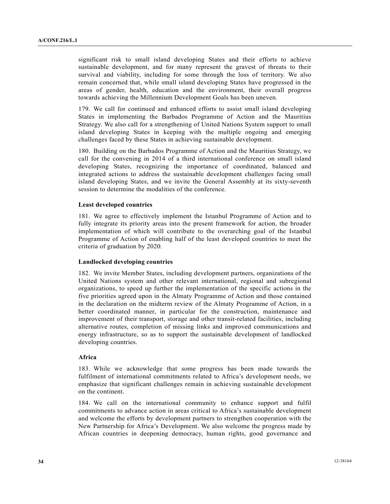significant risk to small island developing States and their efforts to achieve sustainable development, and for many represent the gravest of threats to their survival and viability, including for some through the loss of territory. We also remain concerned that, while small island developing States have progressed in the areas of gender, health, education and the environment, their overall progress towards achieving the Millennium Development Goals has been uneven.

179. We call for continued and enhanced efforts to assist small island developing States in implementing the Barbados Programme of Action and the Mauritius Strategy. We also call for a strengthening of United Nations System support to small island developing States in keeping with the multiple ongoing and emerging challenges faced by these States in achieving sustainable development.

180. Building on the Barbados Programme of Action and the Mauritius Strategy, we call for the convening in 2014 of a third international conference on small island developing States, recognizing the importance of coordinated, balanced and integrated actions to address the sustainable development challenges facing small island developing States, and we invite the General Assembly at its sixty-seventh session to determine the modalities of the conference.

#### **Least developed countries**

181. We agree to effectively implement the Istanbul Programme of Action and to fully integrate its priority areas into the present framework for action, the broader implementation of which will contribute to the overarching goal of the Istanbul Programme of Action of enabling half of the least developed countries to meet the criteria of graduation by 2020.

#### **Landlocked developing countries**

182. We invite Member States, including development partners, organizations of the United Nations system and other relevant international, regional and subregional organizations, to speed up further the implementation of the specific actions in the five priorities agreed upon in the Almaty Programme of Action and those contained in the declaration on the midterm review of the Almaty Programme of Action, in a better coordinated manner, in particular for the construction, maintenance and improvement of their transport, storage and other transit-related facilities, including alternative routes, completion of missing links and improved communications and energy infrastructure, so as to support the sustainable development of landlocked developing countries.

#### **Africa**

183. While we acknowledge that some progress has been made towards the fulfilment of international commitments related to Africa's development needs, we emphasize that significant challenges remain in achieving sustainable development on the continent.

184. We call on the international community to enhance support and fulfil commitments to advance action in areas critical to Africa's sustainable development and welcome the efforts by development partners to strengthen cooperation with the New Partnership for Africa's Development. We also welcome the progress made by African countries in deepening democracy, human rights, good governance and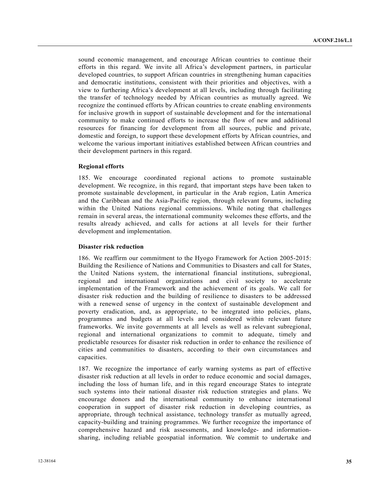sound economic management, and encourage African countries to continue their efforts in this regard. We invite all Africa's development partners, in particular developed countries, to support African countries in strengthening human capacities and democratic institutions, consistent with their priorities and objectives, with a view to furthering Africa's development at all levels, including through facilitating the transfer of technology needed by African countries as mutually agreed. We recognize the continued efforts by African countries to create enabling environments for inclusive growth in support of sustainable development and for the international community to make continued efforts to increase the flow of new and additional resources for financing for development from all sources, public and private, domestic and foreign, to support these development efforts by African countries, and welcome the various important initiatives established between African countries and their development partners in this regard.

#### **Regional efforts**

185. We encourage coordinated regional actions to promote sustainable development. We recognize, in this regard, that important steps have been taken to promote sustainable development, in particular in the Arab region, Latin America and the Caribbean and the Asia-Pacific region, through relevant forums, including within the United Nations regional commissions. While noting that challenges remain in several areas, the international community welcomes these efforts, and the results already achieved, and calls for actions at all levels for their further development and implementation.

#### **Disaster risk reduction**

186. We reaffirm our commitment to the Hyogo Framework for Action 2005-2015: Building the Resilience of Nations and Communities to Disasters and call for States, the United Nations system, the international financial institutions, subregional, regional and international organizations and civil society to accelerate implementation of the Framework and the achievement of its goals. We call for disaster risk reduction and the building of resilience to disasters to be addressed with a renewed sense of urgency in the context of sustainable development and poverty eradication, and, as appropriate, to be integrated into policies, plans, programmes and budgets at all levels and considered within relevant future frameworks. We invite governments at all levels as well as relevant subregional, regional and international organizations to commit to adequate, timely and predictable resources for disaster risk reduction in order to enhance the resilience of cities and communities to disasters, according to their own circumstances and capacities.

187. We recognize the importance of early warning systems as part of effective disaster risk reduction at all levels in order to reduce economic and social damages, including the loss of human life, and in this regard encourage States to integrate such systems into their national disaster risk reduction strategies and plans. We encourage donors and the international community to enhance international cooperation in support of disaster risk reduction in developing countries, as appropriate, through technical assistance, technology transfer as mutually agreed, capacity-building and training programmes. We further recognize the importance of comprehensive hazard and risk assessments, and knowledge- and informationsharing, including reliable geospatial information. We commit to undertake and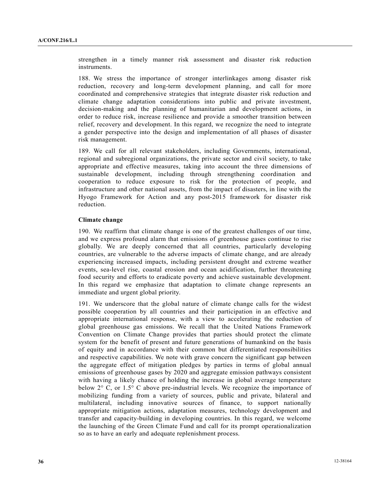strengthen in a timely manner risk assessment and disaster risk reduction instruments.

188. We stress the importance of stronger interlinkages among disaster risk reduction, recovery and long-term development planning, and call for more coordinated and comprehensive strategies that integrate disaster risk reduction and climate change adaptation considerations into public and private investment, decision-making and the planning of humanitarian and development actions, in order to reduce risk, increase resilience and provide a smoother transition between relief, recovery and development. In this regard, we recognize the need to integrate a gender perspective into the design and implementation of all phases of disaster risk management.

189. We call for all relevant stakeholders, including Governments, international, regional and subregional organizations, the private sector and civil society, to take appropriate and effective measures, taking into account the three dimensions of sustainable development, including through strengthening coordination and cooperation to reduce exposure to risk for the protection of people, and infrastructure and other national assets, from the impact of disasters, in line with the Hyogo Framework for Action and any post-2015 framework for disaster risk reduction.

#### **Climate change**

190. We reaffirm that climate change is one of the greatest challenges of our time, and we express profound alarm that emissions of greenhouse gases continue to rise globally. We are deeply concerned that all countries, particularly developing countries, are vulnerable to the adverse impacts of climate change, and are already experiencing increased impacts, including persistent drought and extreme weather events, sea-level rise, coastal erosion and ocean acidification, further threatening food security and efforts to eradicate poverty and achieve sustainable development. In this regard we emphasize that adaptation to climate change represents an immediate and urgent global priority.

191. We underscore that the global nature of climate change calls for the widest possible cooperation by all countries and their participation in an effective and appropriate international response, with a view to accelerating the reduction of global greenhouse gas emissions. We recall that the United Nations Framework Convention on Climate Change provides that parties should protect the climate system for the benefit of present and future generations of humankind on the basis of equity and in accordance with their common but differentiated responsibilities and respective capabilities. We note with grave concern the significant gap between the aggregate effect of mitigation pledges by parties in terms of global annual emissions of greenhouse gases by 2020 and aggregate emission pathways consistent with having a likely chance of holding the increase in global average temperature below 2° C, or 1.5° C above pre-industrial levels. We recognize the importance of mobilizing funding from a variety of sources, public and private, bilateral and multilateral, including innovative sources of finance, to support nationally appropriate mitigation actions, adaptation measures, technology development and transfer and capacity-building in developing countries. In this regard, we welcome the launching of the Green Climate Fund and call for its prompt operationalization so as to have an early and adequate replenishment process.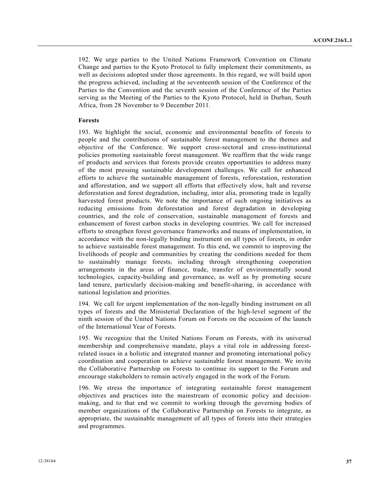192. We urge parties to the United Nations Framework Convention on Climate Change and parties to the Kyoto Protocol to fully implement their commitments, as well as decisions adopted under those agreements. In this regard, we will build upon the progress achieved, including at the seventeenth session of the Conference of the Parties to the Convention and the seventh session of the Conference of the Parties serving as the Meeting of the Parties to the Kyoto Protocol, held in Durban, South Africa, from 28 November to 9 December 2011.

#### **Forests**

193. We highlight the social, economic and environmental benefits of forests to people and the contributions of sustainable forest management to the themes and objective of the Conference. We support cross-sectoral and cross-institutional policies promoting sustainable forest management. We reaffirm that the wide range of products and services that forests provide creates opportunities to address many of the most pressing sustainable development challenges. We call for enhanced efforts to achieve the sustainable management of forests, reforestation, restoration and afforestation, and we support all efforts that effectively slow, halt and reverse deforestation and forest degradation, including, inter alia, promoting trade in legally harvested forest products. We note the importance of such ongoing initiatives as reducing emissions from deforestation and forest degradation in developing countries, and the role of conservation, sustainable management of forests and enhancement of forest carbon stocks in developing countries. We call for increased efforts to strengthen forest governance frameworks and means of implementation, in accordance with the non-legally binding instrument on all types of forests, in order to achieve sustainable forest management. To this end, we commit to improving the livelihoods of people and communities by creating the conditions needed for them to sustainably manage forests, including through strengthening cooperation arrangements in the areas of finance, trade, transfer of environmentally sound technologies, capacity-building and governance, as well as by promoting secure land tenure, particularly decision-making and benefit-sharing, in accordance with national legislation and priorities.

194. We call for urgent implementation of the non-legally binding instrument on all types of forests and the Ministerial Declaration of the high-level segment of the ninth session of the United Nations Forum on Forests on the occasion of the launch of the International Year of Forests.

195. We recognize that the United Nations Forum on Forests, with its universal membership and comprehensive mandate, plays a vital role in addressing forestrelated issues in a holistic and integrated manner and promoting international policy coordination and cooperation to achieve sustainable forest management. We invite the Collaborative Partnership on Forests to continue its support to the Forum and encourage stakeholders to remain actively engaged in the work of the Forum.

196. We stress the importance of integrating sustainable forest management objectives and practices into the mainstream of economic policy and decisionmaking, and to that end we commit to working through the governing bodies of member organizations of the Collaborative Partnership on Forests to integrate, as appropriate, the sustainable management of all types of forests into their strategies and programmes.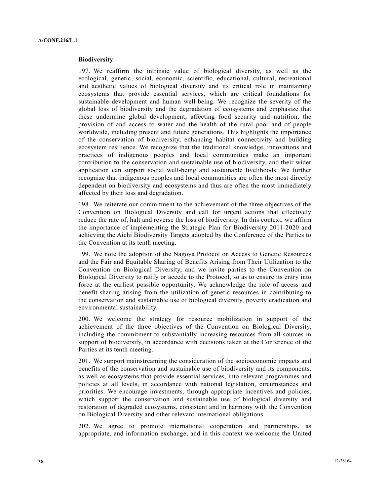#### **Biodiversity**

197. We reaffirm the intrinsic value of biological diversity, as well as the ecological, genetic, social, economic, scientific, educational, cultural, recreational and aesthetic values of biological diversity and its critical role in maintaining ecosystems that provide essential services, which are critical foundations for sustainable development and human well-being. We recognize the severity of the global loss of biodiversity and the degradation of ecosystems and emphasize that these undermine global development, affecting food security and nutrition, the provision of and access to water and the health of the rural poor and of people worldwide, including present and future generations. This highlights the importance of the conservation of biodiversity, enhancing habitat connectivity and building ecosystem resilience. We recognize that the traditional knowledge, innovations and practices of indigenous peoples and local communities make an important contribution to the conservation and sustainable use of biodiversity, and their wider application can support social well-being and sustainable livelihoods. We further recognize that indigenous peoples and local communities are often the most directly dependent on biodiversity and ecosystems and thus are often the most immediately affected by their loss and degradation.

198. We reiterate our commitment to the achievement of the three objectives of the Convention on Biological Diversity and call for urgent actions that effectively reduce the rate of, halt and reverse the loss of biodiversity. In this context, we affirm the importance of implementing the Strategic Plan for Biodiversity 2011-2020 and achieving the Aichi Biodiversity Targets adopted by the Conference of the Parties to the Convention at its tenth meeting.

199. We note the adoption of the Nagoya Protocol on Access to Genetic Resources and the Fair and Equitable Sharing of Benefits Arising from Their Utilization to the Convention on Biological Diversity, and we invite parties to the Convention on Biological Diversity to ratify or accede to the Protocol, so as to ensure its entry into force at the earliest possible opportunity. We acknowledge the role of access and benefit-sharing arising from the utilization of genetic resources in contributing to the conservation and sustainable use of biological diversity, poverty eradication and environmental sustainability.

200. We welcome the strategy for resource mobilization in support of the achievement of the three objectives of the Convention on Biological Diversity, including the commitment to substantially increasing resources from all sources in support of biodiversity, in accordance with decisions taken at the Conference of the Parties at its tenth meeting.

201. We support mainstreaming the consideration of the socioeconomic impacts and benefits of the conservation and sustainable use of biodiversity and its components, as well as ecosystems that provide essential services, into relevant programmes and policies at all levels, in accordance with national legislation, circumstances and priorities. We encourage investments, through appropriate incentives and policies, which support the conservation and sustainable use of biological diversity and restoration of degraded ecosystems, consistent and in harmony with the Convention on Biological Diversity and other relevant international obligations.

202. We agree to promote international cooperation and partnerships, as appropriate, and information exchange, and in this context we welcome the United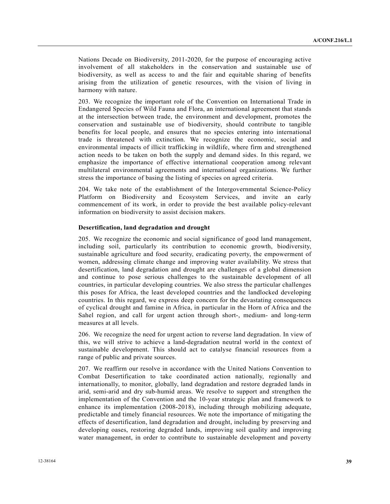Nations Decade on Biodiversity, 2011-2020, for the purpose of encouraging active involvement of all stakeholders in the conservation and sustainable use of biodiversity, as well as access to and the fair and equitable sharing of benefits arising from the utilization of genetic resources, with the vision of living in harmony with nature.

203. We recognize the important role of the Convention on International Trade in Endangered Species of Wild Fauna and Flora, an international agreement that stands at the intersection between trade, the environment and development, promotes the conservation and sustainable use of biodiversity, should contribute to tangible benefits for local people, and ensures that no species entering into international trade is threatened with extinction. We recognize the economic, social and environmental impacts of illicit trafficking in wildlife, where firm and strengthened action needs to be taken on both the supply and demand sides. In this regard, we emphasize the importance of effective international cooperation among relevant multilateral environmental agreements and international organizations. We further stress the importance of basing the listing of species on agreed criteria.

204. We take note of the establishment of the Intergovernmental Science-Policy Platform on Biodiversity and Ecosystem Services, and invite an early commencement of its work, in order to provide the best available policy-relevant information on biodiversity to assist decision makers.

#### **Desertification, land degradation and drought**

205. We recognize the economic and social significance of good land management, including soil, particularly its contribution to economic growth, biodiversity, sustainable agriculture and food security, eradicating poverty, the empowerment of women, addressing climate change and improving water availability. We stress that desertification, land degradation and drought are challenges of a global dimension and continue to pose serious challenges to the sustainable development of all countries, in particular developing countries. We also stress the particular challenges this poses for Africa, the least developed countries and the landlocked developing countries. In this regard, we express deep concern for the devastating consequences of cyclical drought and famine in Africa, in particular in the Horn of Africa and the Sahel region, and call for urgent action through short-, medium- and long-term measures at all levels.

206. We recognize the need for urgent action to reverse land degradation. In view of this, we will strive to achieve a land-degradation neutral world in the context of sustainable development. This should act to catalyse financial resources from a range of public and private sources.

207. We reaffirm our resolve in accordance with the United Nations Convention to Combat Desertification to take coordinated action nationally, regionally and internationally, to monitor, globally, land degradation and restore degraded lands in arid, semi-arid and dry sub-humid areas. We resolve to support and strengthen the implementation of the Convention and the 10-year strategic plan and framework to enhance its implementation (2008-2018), including through mobilizing adequate, predictable and timely financial resources. We note the importance of mitigating the effects of desertification, land degradation and drought, including by preserving and developing oases, restoring degraded lands, improving soil quality and improving water management, in order to contribute to sustainable development and poverty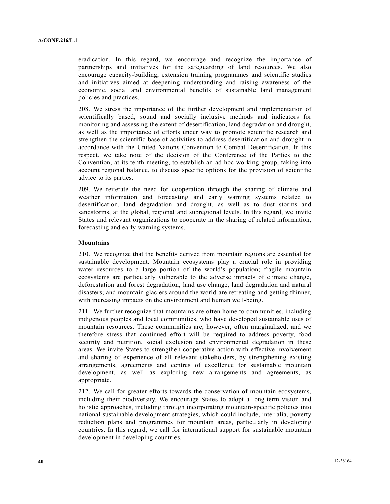eradication. In this regard, we encourage and recognize the importance of partnerships and initiatives for the safeguarding of land resources. We also encourage capacity-building, extension training programmes and scientific studies and initiatives aimed at deepening understanding and raising awareness of the economic, social and environmental benefits of sustainable land management policies and practices.

208. We stress the importance of the further development and implementation of scientifically based, sound and socially inclusive methods and indicators for monitoring and assessing the extent of desertification, land degradation and drought, as well as the importance of efforts under way to promote scientific research and strengthen the scientific base of activities to address desertification and drought in accordance with the United Nations Convention to Combat Desertification. In this respect, we take note of the decision of the Conference of the Parties to the Convention, at its tenth meeting, to establish an ad hoc working group, taking into account regional balance, to discuss specific options for the provision of scientific advice to its parties.

209. We reiterate the need for cooperation through the sharing of climate and weather information and forecasting and early warning systems related to desertification, land degradation and drought, as well as to dust storms and sandstorms, at the global, regional and subregional levels. In this regard, we invite States and relevant organizations to cooperate in the sharing of related information, forecasting and early warning systems.

#### **Mountains**

210. We recognize that the benefits derived from mountain regions are essential for sustainable development. Mountain ecosystems play a crucial role in providing water resources to a large portion of the world's population; fragile mountain ecosystems are particularly vulnerable to the adverse impacts of climate change, deforestation and forest degradation, land use change, land degradation and natural disasters; and mountain glaciers around the world are retreating and getting thinner, with increasing impacts on the environment and human well-being.

211. We further recognize that mountains are often home to communities, including indigenous peoples and local communities, who have developed sustainable uses of mountain resources. These communities are, however, often marginalized, and we therefore stress that continued effort will be required to address poverty, food security and nutrition, social exclusion and environmental degradation in these areas. We invite States to strengthen cooperative action with effective involvement and sharing of experience of all relevant stakeholders, by strengthening existing arrangements, agreements and centres of excellence for sustainable mountain development, as well as exploring new arrangements and agreements, as appropriate.

212. We call for greater efforts towards the conservation of mountain ecosystems, including their biodiversity. We encourage States to adopt a long-term vision and holistic approaches, including through incorporating mountain-specific policies into national sustainable development strategies, which could include, inter alia, poverty reduction plans and programmes for mountain areas, particularly in developing countries. In this regard, we call for international support for sustainable mountain development in developing countries.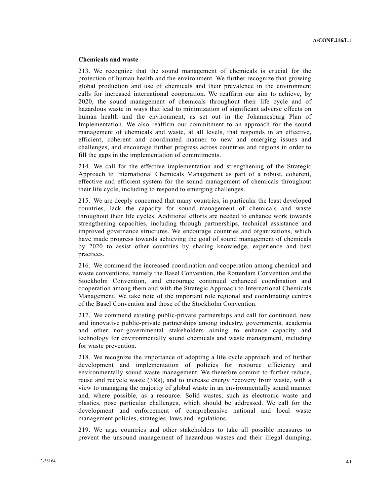#### **Chemicals and waste**

213. We recognize that the sound management of chemicals is crucial for the protection of human health and the environment. We further recognize that growing global production and use of chemicals and their prevalence in the environment calls for increased international cooperation. We reaffirm our aim to achieve, by 2020, the sound management of chemicals throughout their life cycle and of hazardous waste in ways that lead to minimization of significant adverse effects on human health and the environment, as set out in the Johannesburg Plan of Implementation. We also reaffirm our commitment to an approach for the sound management of chemicals and waste, at all levels, that responds in an effective, efficient, coherent and coordinated manner to new and emerging issues and challenges, and encourage further progress across countries and regions in order to fill the gaps in the implementation of commitments.

214. We call for the effective implementation and strengthening of the Strategic Approach to International Chemicals Management as part of a robust, coherent, effective and efficient system for the sound management of chemicals throughout their life cycle, including to respond to emerging challenges.

215. We are deeply concerned that many countries, in particular the least developed countries, lack the capacity for sound management of chemicals and waste throughout their life cycles. Additional efforts are needed to enhance work towards strengthening capacities, including through partnerships, technical assistance and improved governance structures. We encourage countries and organizations, which have made progress towards achieving the goal of sound management of chemicals by 2020 to assist other countries by sharing knowledge, experience and best practices.

216. We commend the increased coordination and cooperation among chemical and waste conventions, namely the Basel Convention, the Rotterdam Convention and the Stockholm Convention, and encourage continued enhanced coordination and cooperation among them and with the Strategic Approach to International Chemicals Management. We take note of the important role regional and coordinating centres of the Basel Convention and those of the Stockholm Convention.

217. We commend existing public-private partnerships and call for continued, new and innovative public-private partnerships among industry, governments, academia and other non-governmental stakeholders aiming to enhance capacity and technology for environmentally sound chemicals and waste management, including for waste prevention.

218. We recognize the importance of adopting a life cycle approach and of further development and implementation of policies for resource efficiency and environmentally sound waste management. We therefore commit to further reduce, reuse and recycle waste (3Rs), and to increase energy recovery from waste, with a view to managing the majority of global waste in an environmentally sound manner and, where possible, as a resource. Solid wastes, such as electronic waste and plastics, pose particular challenges, which should be addressed. We call for the development and enforcement of comprehensive national and local waste management policies, strategies, laws and regulations.

219. We urge countries and other stakeholders to take all possible measures to prevent the unsound management of hazardous wastes and their illegal dumping,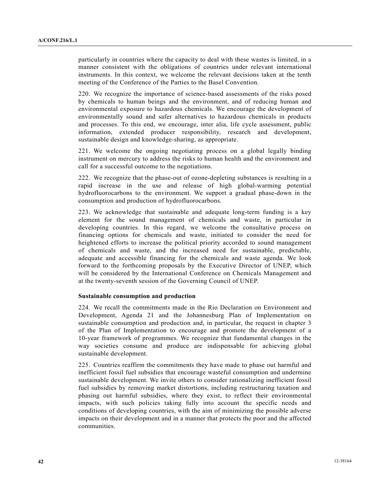particularly in countries where the capacity to deal with these wastes is limited, in a manner consistent with the obligations of countries under relevant international instruments. In this context, we welcome the relevant decisions taken at the tenth meeting of the Conference of the Parties to the Basel Convention.

220. We recognize the importance of science-based assessments of the risks posed by chemicals to human beings and the environment, and of reducing human and environmental exposure to hazardous chemicals. We encourage the development of environmentally sound and safer alternatives to hazardous chemicals in products and processes. To this end, we encourage, inter alia, life cycle assessment, public information, extended producer responsibility, research and development, sustainable design and knowledge-sharing, as appropriate.

221. We welcome the ongoing negotiating process on a global legally binding instrument on mercury to address the risks to human health and the environment and call for a successful outcome to the negotiations.

222. We recognize that the phase-out of ozone-depleting substances is resulting in a rapid increase in the use and release of high global-warming potential hydrofluorocarbons to the environment. We support a gradual phase-down in the consumption and production of hydrofluorocarbons.

223. We acknowledge that sustainable and adequate long-term funding is a key element for the sound management of chemicals and waste, in particular in developing countries. In this regard, we welcome the consultative process on financing options for chemicals and waste, initiated to consider the need for heightened efforts to increase the political priority accorded to sound management of chemicals and waste, and the increased need for sustainable, predictable, adequate and accessible financing for the chemicals and waste agenda. We look forward to the forthcoming proposals by the Executive Director of UNEP, which will be considered by the International Conference on Chemicals Management and at the twenty-seventh session of the Governing Council of UNEP.

#### **Sustainable consumption and production**

224. We recall the commitments made in the Rio Declaration on Environment and Development, Agenda 21 and the Johannesburg Plan of Implementation on sustainable consumption and production and, in particular, the request in chapter 3 of the Plan of Implementation to encourage and promote the development of a 10-year framework of programmes. We recognize that fundamental changes in the way societies consume and produce are indispensable for achieving global sustainable development.

225. Countries reaffirm the commitments they have made to phase out harmful and inefficient fossil fuel subsidies that encourage wasteful consumption and undermine sustainable development. We invite others to consider rationalizing inefficient fossil fuel subsidies by removing market distortions, including restructuring taxation and phasing out harmful subsidies, where they exist, to reflect their environmental impacts, with such policies taking fully into account the specific needs and conditions of developing countries, with the aim of minimizing the possible adverse impacts on their development and in a manner that protects the poor and the affected communities.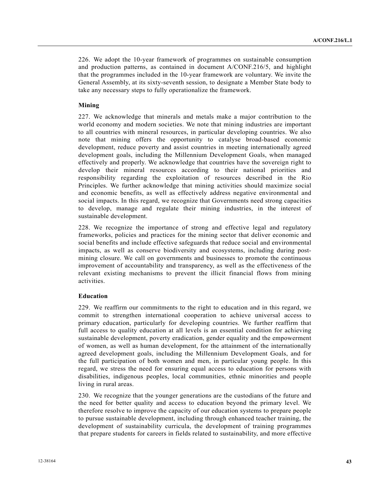226. We adopt the 10-year framework of programmes on sustainable consumption and production patterns, as contained in document A/CONF.216/5, and highlight that the programmes included in the 10-year framework are voluntary. We invite the General Assembly, at its sixty-seventh session, to designate a Member State body to take any necessary steps to fully operationalize the framework.

#### **Mining**

227. We acknowledge that minerals and metals make a major contribution to the world economy and modern societies. We note that mining industries are important to all countries with mineral resources, in particular developing countries. We also note that mining offers the opportunity to catalyse broad-based economic development, reduce poverty and assist countries in meeting internationally agreed development goals, including the Millennium Development Goals, when managed effectively and properly. We acknowledge that countries have the sovereign right to develop their mineral resources according to their national priorities and responsibility regarding the exploitation of resources described in the Rio Principles. We further acknowledge that mining activities should maximize social and economic benefits, as well as effectively address negative environmental and social impacts. In this regard, we recognize that Governments need strong capacities to develop, manage and regulate their mining industries, in the interest of sustainable development.

228. We recognize the importance of strong and effective legal and regulatory frameworks, policies and practices for the mining sector that deliver economic and social benefits and include effective safeguards that reduce social and environmental impacts, as well as conserve biodiversity and ecosystems, including during postmining closure. We call on governments and businesses to promote the continuous improvement of accountability and transparency, as well as the effectiveness of the relevant existing mechanisms to prevent the illicit financial flows from mining activities.

#### **Education**

229. We reaffirm our commitments to the right to education and in this regard, we commit to strengthen international cooperation to achieve universal access to primary education, particularly for developing countries. We further reaffirm that full access to quality education at all levels is an essential condition for achieving sustainable development, poverty eradication, gender equality and the empowerment of women, as well as human development, for the attainment of the internationally agreed development goals, including the Millennium Development Goals, and for the full participation of both women and men, in particular young people. In this regard, we stress the need for ensuring equal access to education for persons with disabilities, indigenous peoples, local communities, ethnic minorities and people living in rural areas.

230. We recognize that the younger generations are the custodians of the future and the need for better quality and access to education beyond the primary level. We therefore resolve to improve the capacity of our education systems to prepare people to pursue sustainable development, including through enhanced teacher training, the development of sustainability curricula, the development of training programmes that prepare students for careers in fields related to sustainability, and more effective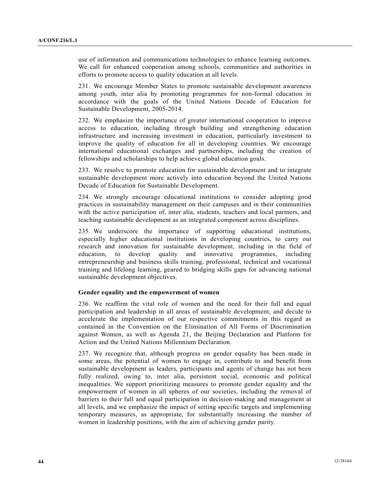use of information and communications technologies to enhance learning outcomes. We call for enhanced cooperation among schools, communities and authorities in efforts to promote access to quality education at all levels.

231. We encourage Member States to promote sustainable development awareness among youth, inter alia by promoting programmes for non-formal education in accordance with the goals of the United Nations Decade of Education for Sustainable Development, 2005-2014.

232. We emphasize the importance of greater international cooperation to improve access to education, including through building and strengthening education infrastructure and increasing investment in education, particularly investment to improve the quality of education for all in developing countries. We encourage international educational exchanges and partnerships, including the creation of fellowships and scholarships to help achieve global education goals.

233. We resolve to promote education for sustainable development and to integrate sustainable development more actively into education beyond the United Nations Decade of Education for Sustainable Development.

234. We strongly encourage educational institutions to consider adopting good practices in sustainability management on their campuses and in their communities with the active participation of, inter alia, students, teachers and local partners, and teaching sustainable development as an integrated component across disciplines.

235. We underscore the importance of supporting educational institutions, especially higher educational institutions in developing countries, to carry out research and innovation for sustainable development, including in the field of education, to develop quality and innovative programmes, including entrepreneurship and business skills training, professional, technical and vocational training and lifelong learning, geared to bridging skills gaps for advancing national sustainable development objectives.

#### **Gender equality and the empowerment of women**

236. We reaffirm the vital role of women and the need for their full and equal participation and leadership in all areas of sustainable development, and decide to accelerate the implementation of our respective commitments in this regard as contained in the Convention on the Elimination of All Forms of Discrimination against Women, as well as Agenda 21, the Beijing Declaration and Platform for Action and the United Nations Millennium Declaration.

237. We recognize that, although progress on gender equality has been made in some areas, the potential of women to engage in, contribute to and benefit from sustainable development as leaders, participants and agents of change has not been fully realized, owing to, inter alia, persistent social, economic and political inequalities. We support prioritizing measures to promote gender equality and the empowerment of women in all spheres of our societies, including the removal of barriers to their full and equal participation in decision-making and management at all levels, and we emphasize the impact of setting specific targets and implementing temporary measures, as appropriate, for substantially increasing the number of women in leadership positions, with the aim of achieving gender parity.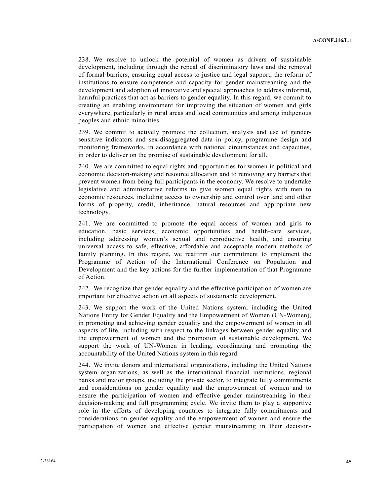238. We resolve to unlock the potential of women as drivers of sustainable development, including through the repeal of discriminatory laws and the removal of formal barriers, ensuring equal access to justice and legal support, the reform of institutions to ensure competence and capacity for gender mainstreaming and the development and adoption of innovative and special approaches to address informal, harmful practices that act as barriers to gender equality. In this regard, we commit to creating an enabling environment for improving the situation of women and girls everywhere, particularly in rural areas and local communities and among indigenous peoples and ethnic minorities.

239. We commit to actively promote the collection, analysis and use of gendersensitive indicators and sex-disaggregated data in policy, programme design and monitoring frameworks, in accordance with national circumstances and capacities, in order to deliver on the promise of sustainable development for all.

240. We are committed to equal rights and opportunities for women in political and economic decision-making and resource allocation and to removing any barriers that prevent women from being full participants in the economy. We resolve to undertake legislative and administrative reforms to give women equal rights with men to economic resources, including access to ownership and control over land and other forms of property, credit, inheritance, natural resources and appropriate new technology.

241. We are committed to promote the equal access of women and girls to education, basic services, economic opportunities and health-care services, including addressing women's sexual and reproductive health, and ensuring universal access to safe, effective, affordable and acceptable modern methods of family planning. In this regard, we reaffirm our commitment to implement the Programme of Action of the International Conference on Population and Development and the key actions for the further implementation of that Programme of Action.

242. We recognize that gender equality and the effective participation of women are important for effective action on all aspects of sustainable development.

243. We support the work of the United Nations system, including the United Nations Entity for Gender Equality and the Empowerment of Women (UN-Women), in promoting and achieving gender equality and the empowerment of women in all aspects of life, including with respect to the linkages between gender equality and the empowerment of women and the promotion of sustainable development. We support the work of UN-Women in leading, coordinating and promoting the accountability of the United Nations system in this regard.

244. We invite donors and international organizations, including the United Nations system organizations, as well as the international financial institutions, regional banks and major groups, including the private sector, to integrate fully commitments and considerations on gender equality and the empowerment of women and to ensure the participation of women and effective gender mainstreaming in their decision-making and full programming cycle. We invite them to play a supportive role in the efforts of developing countries to integrate fully commitments and considerations on gender equality and the empowerment of women and ensure the participation of women and effective gender mainstreaming in their decision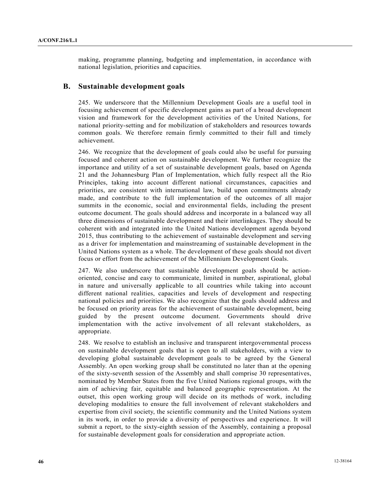making, programme planning, budgeting and implementation, in accordance with national legislation, priorities and capacities.

## **B. Sustainable development goals**

245. We underscore that the Millennium Development Goals are a useful tool in focusing achievement of specific development gains as part of a broad development vision and framework for the development activities of the United Nations, for national priority-setting and for mobilization of stakeholders and resources towards common goals. We therefore remain firmly committed to their full and timely achievement.

246. We recognize that the development of goals could also be useful for pursuing focused and coherent action on sustainable development. We further recognize the importance and utility of a set of sustainable development goals, based on Agenda 21 and the Johannesburg Plan of Implementation, which fully respect all the Rio Principles, taking into account different national circumstances, capacities and priorities, are consistent with international law, build upon commitments already made, and contribute to the full implementation of the outcomes of all major summits in the economic, social and environmental fields, including the present outcome document. The goals should address and incorporate in a balanced way all three dimensions of sustainable development and their interlinkages. They should be coherent with and integrated into the United Nations development agenda beyond 2015, thus contributing to the achievement of sustainable development and serving as a driver for implementation and mainstreaming of sustainable development in the United Nations system as a whole. The development of these goals should not divert focus or effort from the achievement of the Millennium Development Goals.

247. We also underscore that sustainable development goals should be actionoriented, concise and easy to communicate, limited in number, aspirational, global in nature and universally applicable to all countries while taking into account different national realities, capacities and levels of development and respecting national policies and priorities. We also recognize that the goals should address and be focused on priority areas for the achievement of sustainable development, being guided by the present outcome document. Governments should drive implementation with the active involvement of all relevant stakeholders, as appropriate.

248. We resolve to establish an inclusive and transparent intergovernmental process on sustainable development goals that is open to all stakeholders, with a view to developing global sustainable development goals to be agreed by the General Assembly. An open working group shall be constituted no later than at the opening of the sixty-seventh session of the Assembly and shall comprise 30 representatives, nominated by Member States from the five United Nations regional groups, with the aim of achieving fair, equitable and balanced geographic representation. At the outset, this open working group will decide on its methods of work, including developing modalities to ensure the full involvement of relevant stakeholders and expertise from civil society, the scientific community and the United Nations system in its work, in order to provide a diversity of perspectives and experience. It will submit a report, to the sixty-eighth session of the Assembly, containing a proposal for sustainable development goals for consideration and appropriate action.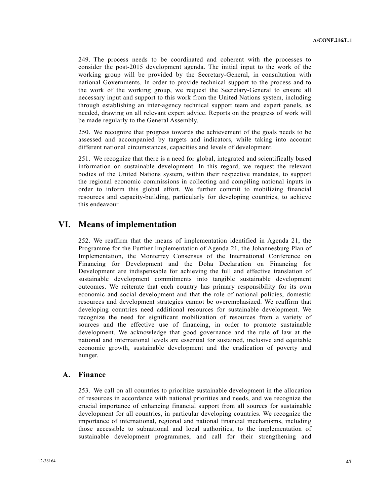249. The process needs to be coordinated and coherent with the processes to consider the post-2015 development agenda. The initial input to the work of the working group will be provided by the Secretary-General, in consultation with national Governments. In order to provide technical support to the process and to the work of the working group, we request the Secretary-General to ensure all necessary input and support to this work from the United Nations system, including through establishing an inter-agency technical support team and expert panels, as needed, drawing on all relevant expert advice. Reports on the progress of work will be made regularly to the General Assembly.

250. We recognize that progress towards the achievement of the goals needs to be assessed and accompanied by targets and indicators, while taking into account different national circumstances, capacities and levels of development.

251. We recognize that there is a need for global, integrated and scientifically based information on sustainable development. In this regard, we request the relevant bodies of the United Nations system, within their respective mandates, to support the regional economic commissions in collecting and compiling national inputs in order to inform this global effort. We further commit to mobilizing financial resources and capacity-building, particularly for developing countries, to achieve this endeavour.

## **VI. Means of implementation**

252. We reaffirm that the means of implementation identified in Agenda 21, the Programme for the Further Implementation of Agenda 21, the Johannesburg Plan of Implementation, the Monterrey Consensus of the International Conference on Financing for Development and the Doha Declaration on Financing for Development are indispensable for achieving the full and effective translation of sustainable development commitments into tangible sustainable development outcomes. We reiterate that each country has primary responsibility for its own economic and social development and that the role of national policies, domestic resources and development strategies cannot be overemphasized. We reaffirm that developing countries need additional resources for sustainable development. We recognize the need for significant mobilization of resources from a variety of sources and the effective use of financing, in order to promote sustainable development. We acknowledge that good governance and the rule of law at the national and international levels are essential for sustained, inclusive and equitable economic growth, sustainable development and the eradication of poverty and hunger.

### **A. Finance**

253. We call on all countries to prioritize sustainable development in the allocation of resources in accordance with national priorities and needs, and we recognize the crucial importance of enhancing financial support from all sources for sustainable development for all countries, in particular developing countries. We recognize the importance of international, regional and national financial mechanisms, including those accessible to subnational and local authorities, to the implementation of sustainable development programmes, and call for their strengthening and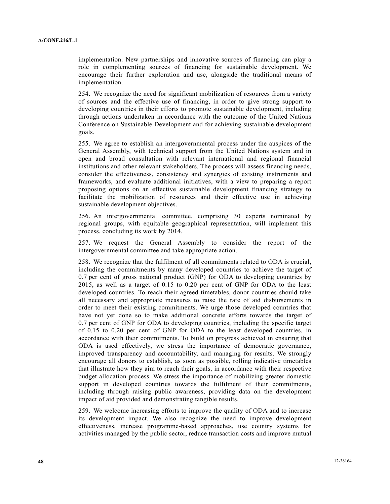implementation. New partnerships and innovative sources of financing can play a role in complementing sources of financing for sustainable development. We encourage their further exploration and use, alongside the traditional means of implementation.

254. We recognize the need for significant mobilization of resources from a variety of sources and the effective use of financing, in order to give strong support to developing countries in their efforts to promote sustainable development, including through actions undertaken in accordance with the outcome of the United Nations Conference on Sustainable Development and for achieving sustainable development goals.

255. We agree to establish an intergovernmental process under the auspices of the General Assembly, with technical support from the United Nations system and in open and broad consultation with relevant international and regional financial institutions and other relevant stakeholders. The process will assess financing needs, consider the effectiveness, consistency and synergies of existing instruments and frameworks, and evaluate additional initiatives, with a view to preparing a report proposing options on an effective sustainable development financing strategy to facilitate the mobilization of resources and their effective use in achieving sustainable development objectives.

256. An intergovernmental committee, comprising 30 experts nominated by regional groups, with equitable geographical representation, will implement this process, concluding its work by 2014.

257. We request the General Assembly to consider the report of the intergovernmental committee and take appropriate action.

258. We recognize that the fulfilment of all commitments related to ODA is crucial, including the commitments by many developed countries to achieve the target of 0.7 per cent of gross national product (GNP) for ODA to developing countries by 2015, as well as a target of 0.15 to 0.20 per cent of GNP for ODA to the least developed countries. To reach their agreed timetables, donor countries should take all necessary and appropriate measures to raise the rate of aid disbursements in order to meet their existing commitments. We urge those developed countries that have not yet done so to make additional concrete efforts towards the target of 0.7 per cent of GNP for ODA to developing countries, including the specific target of 0.15 to 0.20 per cent of GNP for ODA to the least developed countries, in accordance with their commitments. To build on progress achieved in ensuring that ODA is used effectively, we stress the importance of democratic governance, improved transparency and accountability, and managing for results. We strongly encourage all donors to establish, as soon as possible, rolling indicative timetables that illustrate how they aim to reach their goals, in accordance with their respective budget allocation process. We stress the importance of mobilizing greater domestic support in developed countries towards the fulfilment of their commitments, including through raising public awareness, providing data on the development impact of aid provided and demonstrating tangible results.

259. We welcome increasing efforts to improve the quality of ODA and to increase its development impact. We also recognize the need to improve development effectiveness, increase programme-based approaches, use country systems for activities managed by the public sector, reduce transaction costs and improve mutual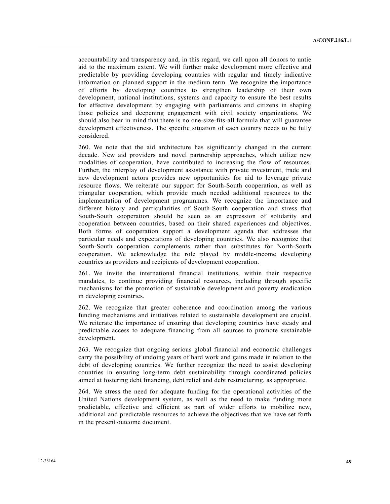accountability and transparency and, in this regard, we call upon all donors to untie aid to the maximum extent. We will further make development more effective and predictable by providing developing countries with regular and timely indicative information on planned support in the medium term. We recognize the importance of efforts by developing countries to strengthen leadership of their own development, national institutions, systems and capacity to ensure the best results for effective development by engaging with parliaments and citizens in shaping those policies and deepening engagement with civil society organizations. We should also bear in mind that there is no one-size-fits-all formula that will guarantee development effectiveness. The specific situation of each country needs to be fully considered.

260. We note that the aid architecture has significantly changed in the current decade. New aid providers and novel partnership approaches, which utilize new modalities of cooperation, have contributed to increasing the flow of resources. Further, the interplay of development assistance with private investment, trade and new development actors provides new opportunities for aid to leverage private resource flows. We reiterate our support for South-South cooperation, as well as triangular cooperation, which provide much needed additional resources to the implementation of development programmes. We recognize the importance and different history and particularities of South-South cooperation and stress that South-South cooperation should be seen as an expression of solidarity and cooperation between countries, based on their shared experiences and objectives. Both forms of cooperation support a development agenda that addresses the particular needs and expectations of developing countries. We also recognize that South-South cooperation complements rather than substitutes for North-South cooperation. We acknowledge the role played by middle-income developing countries as providers and recipients of development cooperation.

261. We invite the international financial institutions, within their respective mandates, to continue providing financial resources, including through specific mechanisms for the promotion of sustainable development and poverty eradication in developing countries.

262. We recognize that greater coherence and coordination among the various funding mechanisms and initiatives related to sustainable development are crucial. We reiterate the importance of ensuring that developing countries have steady and predictable access to adequate financing from all sources to promote sustainable development.

263. We recognize that ongoing serious global financial and economic challenges carry the possibility of undoing years of hard work and gains made in relation to the debt of developing countries. We further recognize the need to assist developing countries in ensuring long-term debt sustainability through coordinated policies aimed at fostering debt financing, debt relief and debt restructuring, as appropriate.

264. We stress the need for adequate funding for the operational activities of the United Nations development system, as well as the need to make funding more predictable, effective and efficient as part of wider efforts to mobilize new, additional and predictable resources to achieve the objectives that we have set forth in the present outcome document.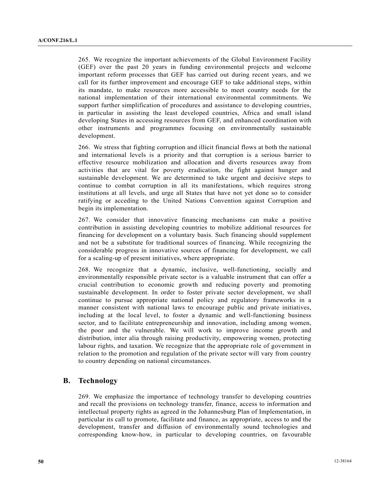265. We recognize the important achievements of the Global Environment Facility (GEF) over the past 20 years in funding environmental projects and welcome important reform processes that GEF has carried out during recent years, and we call for its further improvement and encourage GEF to take additional steps, within its mandate, to make resources more accessible to meet country needs for the national implementation of their international environmental commitments. We support further simplification of procedures and assistance to developing countries, in particular in assisting the least developed countries, Africa and small island developing States in accessing resources from GEF, and enhanced coordination with other instruments and programmes focusing on environmentally sustainable development.

266. We stress that fighting corruption and illicit financial flows at both the national and international levels is a priority and that corruption is a serious barrier to effective resource mobilization and allocation and diverts resources away from activities that are vital for poverty eradication, the fight against hunger and sustainable development. We are determined to take urgent and decisive steps to continue to combat corruption in all its manifestations, which requires strong institutions at all levels, and urge all States that have not yet done so to consider ratifying or acceding to the United Nations Convention against Corruption and begin its implementation.

267. We consider that innovative financing mechanisms can make a positive contribution in assisting developing countries to mobilize additional resources for financing for development on a voluntary basis. Such financing should supplement and not be a substitute for traditional sources of financing. While recognizing the considerable progress in innovative sources of financing for development, we call for a scaling-up of present initiatives, where appropriate.

268. We recognize that a dynamic, inclusive, well-functioning, socially and environmentally responsible private sector is a valuable instrument that can offer a crucial contribution to economic growth and reducing poverty and promoting sustainable development. In order to foster private sector development, we shall continue to pursue appropriate national policy and regulatory frameworks in a manner consistent with national laws to encourage public and private initiatives, including at the local level, to foster a dynamic and well-functioning business sector, and to facilitate entrepreneurship and innovation, including among women, the poor and the vulnerable. We will work to improve income growth and distribution, inter alia through raising productivity, empowering women, protecting labour rights, and taxation. We recognize that the appropriate role of government in relation to the promotion and regulation of the private sector will vary from country to country depending on national circumstances.

### **B. Technology**

269. We emphasize the importance of technology transfer to developing countries and recall the provisions on technology transfer, finance, access to information and intellectual property rights as agreed in the Johannesburg Plan of Implementation, in particular its call to promote, facilitate and finance, as appropriate, access to and the development, transfer and diffusion of environmentally sound technologies and corresponding know-how, in particular to developing countries, on favourable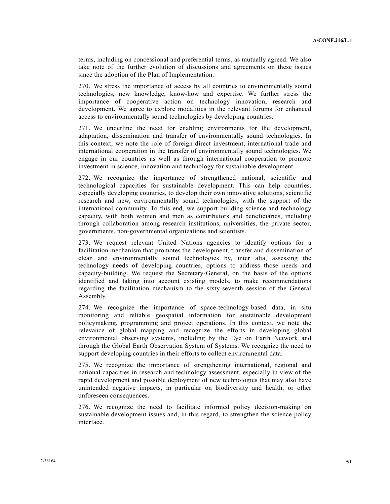terms, including on concessional and preferential terms, as mutually agreed. We also take note of the further evolution of discussions and agreements on these issues since the adoption of the Plan of Implementation.

270. We stress the importance of access by all countries to environmentally sound technologies, new knowledge, know-how and expertise. We further stress the importance of cooperative action on technology innovation, research and development. We agree to explore modalities in the relevant forums for enhanced access to environmentally sound technologies by developing countries.

271. We underline the need for enabling environments for the development, adaptation, dissemination and transfer of environmentally sound technologies. In this context, we note the role of foreign direct investment, international trade and international cooperation in the transfer of environmentally sound technologies. We engage in our countries as well as through international cooperation to promote investment in science, innovation and technology for sustainable development.

272. We recognize the importance of strengthened national, scientific and technological capacities for sustainable development. This can help countries, especially developing countries, to develop their own innovative solutions, scientific research and new, environmentally sound technologies, with the support of the international community. To this end, we support building science and technology capacity, with both women and men as contributors and beneficiaries, including through collaboration among research institutions, universities, the private sector, governments, non-governmental organizations and scientists.

273. We request relevant United Nations agencies to identify options for a facilitation mechanism that promotes the development, transfer and dissemination of clean and environmentally sound technologies by, inter alia, assessing the technology needs of developing countries, options to address those needs and capacity-building. We request the Secretary-General, on the basis of the options identified and taking into account existing models, to make recommendations regarding the facilitation mechanism to the sixty-seventh session of the General Assembly.

274. We recognize the importance of space-technology-based data, in situ monitoring and reliable geospatial information for sustainable development policymaking, programming and project operations. In this context, we note the relevance of global mapping and recognize the efforts in developing global environmental observing systems, including by the Eye on Earth Network and through the Global Earth Observation System of Systems. We recognize the need to support developing countries in their efforts to collect environmental data.

275. We recognize the importance of strengthening international, regional and national capacities in research and technology assessment, especially in view of the rapid development and possible deployment of new technologies that may also have unintended negative impacts, in particular on biodiversity and health, or other unforeseen consequences.

276. We recognize the need to facilitate informed policy decision-making on sustainable development issues and, in this regard, to strengthen the science-policy interface.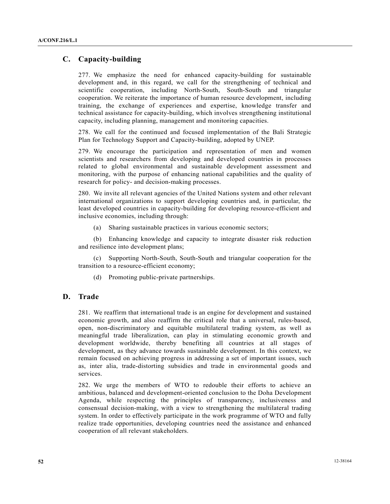## **C. Capacity-building**

277. We emphasize the need for enhanced capacity-building for sustainable development and, in this regard, we call for the strengthening of technical and scientific cooperation, including North-South, South-South and triangular cooperation. We reiterate the importance of human resource development, including training, the exchange of experiences and expertise, knowledge transfer and technical assistance for capacity-building, which involves strengthening institutional capacity, including planning, management and monitoring capacities.

278. We call for the continued and focused implementation of the Bali Strategic Plan for Technology Support and Capacity-building, adopted by UNEP.

279. We encourage the participation and representation of men and women scientists and researchers from developing and developed countries in processes related to global environmental and sustainable development assessment and monitoring, with the purpose of enhancing national capabilities and the quality of research for policy- and decision-making processes.

280. We invite all relevant agencies of the United Nations system and other relevant international organizations to support developing countries and, in particular, the least developed countries in capacity-building for developing resource-efficient and inclusive economies, including through:

(a) Sharing sustainable practices in various economic sectors;

 (b) Enhancing knowledge and capacity to integrate disaster risk reduction and resilience into development plans;

 (c) Supporting North-South, South-South and triangular cooperation for the transition to a resource-efficient economy;

(d) Promoting public-private partnerships.

### **D. Trade**

281. We reaffirm that international trade is an engine for development and sustained economic growth, and also reaffirm the critical role that a universal, rules-based, open, non-discriminatory and equitable multilateral trading system, as well as meaningful trade liberalization, can play in stimulating economic growth and development worldwide, thereby benefiting all countries at all stages of development, as they advance towards sustainable development. In this context, we remain focused on achieving progress in addressing a set of important issues, such as, inter alia, trade-distorting subsidies and trade in environmental goods and services.

282. We urge the members of WTO to redouble their efforts to achieve an ambitious, balanced and development-oriented conclusion to the Doha Development Agenda, while respecting the principles of transparency, inclusiveness and consensual decision-making, with a view to strengthening the multilateral trading system. In order to effectively participate in the work programme of WTO and fully realize trade opportunities, developing countries need the assistance and enhanced cooperation of all relevant stakeholders.